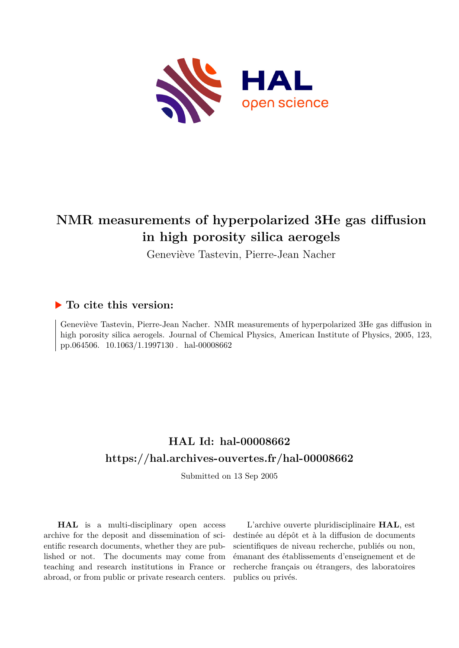

# **NMR measurements of hyperpolarized 3He gas diffusion in high porosity silica aerogels**

Geneviève Tastevin, Pierre-Jean Nacher

# **To cite this version:**

Geneviève Tastevin, Pierre-Jean Nacher. NMR measurements of hyperpolarized 3He gas diffusion in high porosity silica aerogels. Journal of Chemical Physics, American Institute of Physics, 2005, 123, pp.064506. 10.1063/1.1997130. hal-00008662

# **HAL Id: hal-00008662 <https://hal.archives-ouvertes.fr/hal-00008662>**

Submitted on 13 Sep 2005

**HAL** is a multi-disciplinary open access archive for the deposit and dissemination of scientific research documents, whether they are published or not. The documents may come from teaching and research institutions in France or abroad, or from public or private research centers.

L'archive ouverte pluridisciplinaire **HAL**, est destinée au dépôt et à la diffusion de documents scientifiques de niveau recherche, publiés ou non, émanant des établissements d'enseignement et de recherche français ou étrangers, des laboratoires publics ou privés.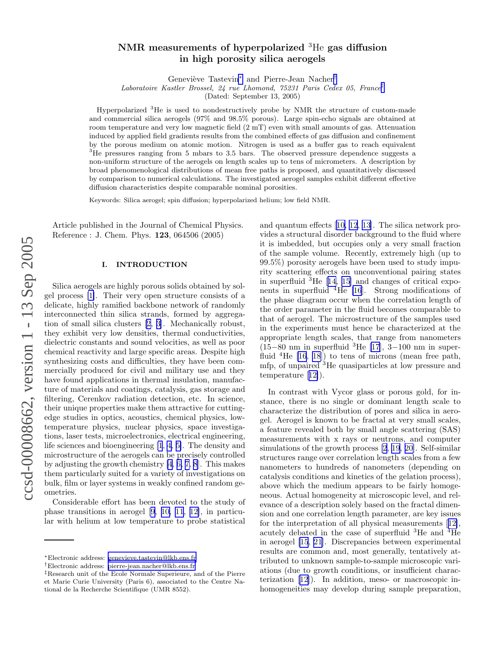# ccsd-00008662, version 1 - 13 Sep 2005 ccsd-00008662, version 1 - 13 Sep 2005

## NMR measurements of hyperpolarized <sup>3</sup>He gas diffusion in high porosity silica aerogels

Geneviève Tastevin<sup>\*</sup> and Pierre-Jean Nacher<sup>†</sup>

Laboratoire Kastler Brossel, 24 rue Lhomond, 75231 Paris Cedex 05, France ‡

(Dated: September 13, 2005)

Hyperpolarized <sup>3</sup>He is used to nondestructively probe by NMR the structure of custom-made and commercial silica aerogels (97% and 98.5% porous). Large spin-echo signals are obtained at room temperature and very low magnetic field (2 mT) even with small amounts of gas. Attenuation induced by applied field gradients results from the combined effects of gas diffusion and confinement by the porous medium on atomic motion. Nitrogen is used as a buffer gas to reach equivalent <sup>3</sup>He pressures ranging from 5 mbars to 3.5 bars. The observed pressure dependence suggests a non-uniform structure of the aerogels on length scales up to tens of micrometers. A description by broad phenomenological distributions of mean free paths is proposed, and quantitatively discussed by comparison to numerical calculations. The investigated aerogel samples exhibit different effective diffusion characteristics despite comparable nominal porosities.

Keywords: Silica aerogel; spin diffusion; hyperpolarized helium; low field NMR.

Article published in the Journal of Chemical Physics. Reference : J. Chem. Phys. 123, 064506 (2005)

### I. INTRODUCTION

Silica aerogels are highly porous solids obtained by solgel process [\[1\]](#page-18-0). Their very open structure consists of a delicate, highly ramified backbone network of randomly interconnected thin silica strands, formed by aggregation of small silica clusters [\[2, 3\]](#page-18-0). Mechanically robust, they exhibit very low densities, thermal conductivities, dielectric constants and sound velocities, as well as poor chemical reactivity and large specific areas. Despite high synthesizing costs and difficulties, they have been commercially produced for civil and military use and they have found applications in thermal insulation, manufacture of materials and coatings, catalysis, gas storage and filtering, Cerenkov radiation detection, etc. In science, their unique properties make them attractive for cuttingedge studies in optics, acoustics, chemical physics, lowtemperature physics, nuclear physics, space investigations, laser tests, microelectronics, electrical engineering, life sciences and bioengineering [\[1](#page-18-0), [4](#page-18-0), [5\]](#page-18-0). The density and microstructure of the aerogels can be precisely controlled by adjusting the growth chemistry [\[4](#page-18-0), [6, 7, 8](#page-18-0)]. This makes them particularly suited for a variety of investigations on bulk, film or layer systems in weakly confined random geometries.

Considerable effort has been devoted to the study of phase transitions in aerogel [\[9](#page-18-0), [10, 11](#page-18-0), [12\]](#page-18-0), in particular with helium at low temperature to probe statistical and quantum effects[[10, 12](#page-18-0), [13](#page-18-0)]. The silica network provides a structural disorder background to the fluid where it is imbedded, but occupies only a very small fraction of the sample volume. Recently, extremely high (up to 99.5%) porosity aerogels have been used to study impurity scattering effects on unconventional pairing states in superfluid <sup>3</sup>He[[14, 15](#page-18-0)] and changes of critical exponents in superfluid <sup>4</sup>He [\[16](#page-18-0)]. Strong modifications of the phase diagram occur when the correlation length of the order parameter in the fluid becomes comparable to that of aerogel. The microstructure of the samples used in the experiments must hence be characterized at the appropriate length scales, that range from nanometers (15–80 nm in superfluid  ${}^{3}$ He [\[17](#page-18-0)], 3–100 nm in superfluid  ${}^{4}$ He [\[16](#page-18-0), [18](#page-18-0)]) to tens of microns (mean free path, mfp, of unpaired <sup>3</sup>He quasiparticles at low pressure and temperature[[12\]](#page-18-0)).

In contrast with Vycor glass or porous gold, for instance, there is no single or dominant length scale to characterize the distribution of pores and silica in aerogel. Aerogel is known to be fractal at very small scales, a feature revealed both by small angle scattering (SAS) measurements with x rays or neutrons, and computer simulations of the growth process [\[2](#page-18-0), [19, 20\]](#page-18-0). Self-similar structures range over correlation length scales from a few nanometers to hundreds of nanometers (depending on catalysis conditions and kinetics of the gelation process) , above which the medium appears to be fairly homogeneous. Actual homogeneity at microscopic level, and relevance of a description solely based on the fractal dimension and one correlation length parameter, are key issues for the interpretation of all physical measurements[[12\]](#page-18-0), acutely debated in the case of superfluid <sup>3</sup>He and <sup>4</sup>He in aerogel [\[15](#page-18-0), [21\]](#page-18-0). Discrepancies between experimental results are common and, most generally, tentatively attributed to unknown sample-to-sample microscopic variations (due to growth conditions, or insufficient characterization[[12\]](#page-18-0)). In addition, meso- or macroscopic inhomogeneities may develop during sample preparation,

<sup>∗</sup>Electronic address: [genevieve.tastevin@lkb.ens.fr](mailto:genevieve.tastevin@lkb.ens.fr)

<sup>†</sup>Electronic address: [pierre-jean.nacher@lkb.ens.fr](mailto:pierre-jean.nacher@lkb.ens.fr)

<sup>‡</sup>Research unit of the Ecole Normale Superieure, and of the Pierre et Marie Curie University (Paris 6), associated to the Centre National de la Recherche Scientifique (UMR 8552).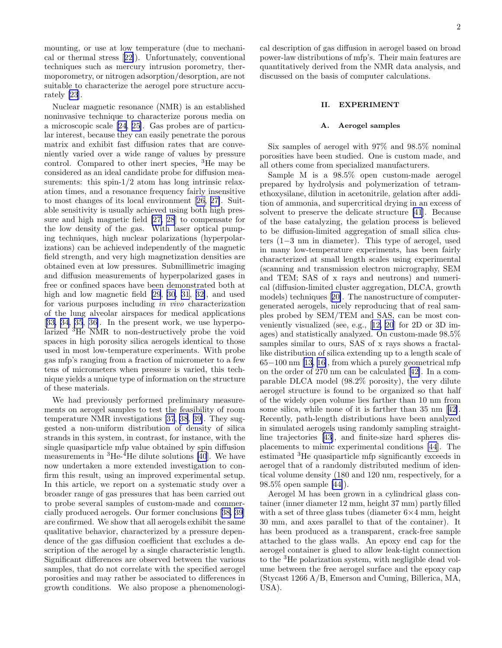mounting, or use at low temperature (due to mechanical or thermal stress[[22\]](#page-18-0)). Unfortunately, conventional techniques such as mercury intrusion porometry, thermoporometry, or nitrogen adsorption/desorption, are not suitable to characterize the aerogel pore structure accurately [\[23](#page-18-0)].

Nuclear magnetic resonance (NMR) is an established noninvasive technique to characterize porous media on a microscopic scale [\[24](#page-18-0), [25\]](#page-18-0). Gas probes are of particular interest, because they can easily penetrate the porous matrix and exhibit fast diffusion rates that are conveniently varied over a wide range of values by pressure control. Compared to other inert species, <sup>3</sup>He may be considered as an ideal candidate probe for diffusion measurements: this spin-1/2 atom has long intrinsic relaxation times, and a resonance frequency fairly insensitive to most changes of its local environment[[26, 27\]](#page-18-0). Suitable sensitivity is usually achieved using both high pressure and high magnetic field [\[27, 28](#page-18-0)] to compensate for the low density of the gas. With laser optical pumping techniques, high nuclear polarizations (hyperpolarizations) can be achieved independently of the magnetic field strength, and very high magnetization densities are obtained even at low pressures. Submillimetric imaging and diffusion measurements of hyperpolarized gases in free or confined spaces have been demonstrated both at high and low magnetic field [\[29](#page-18-0), [30, 31](#page-18-0), [32\]](#page-18-0), and used for various purposes including in vivo characterization of the lung alveolar airspaces for medical applications [[33, 34](#page-18-0), [35](#page-18-0), [36\]](#page-18-0). In the present work, we use hyperpolarized <sup>3</sup>He NMR to non-destructively probe the void spaces in high porosity silica aerogels identical to those used in most low-temperature experiments. With probe gas mfp's ranging from a fraction of micrometer to a few tens of micrometers when pressure is varied, this technique yields a unique type of information on the structure of these materials.

We had previously performed preliminary measurements on aerogel samples to test the feasibility of room temperature NMR investigations [\[37](#page-18-0), [38](#page-18-0), [39\]](#page-18-0). They suggested a non-uniform distribution of density of silica strands in this system, in contrast, for instance, with the single quasiparticle mfp value obtained by spin diffusion measurements in  ${}^{3}$ He- ${}^{4}$ He dilute solutions [\[40](#page-18-0)]. We have now undertaken a more extended investigation to confirm this result, using an improved experimental setup. In this article, we report on a systematic study over a broader range of gas pressures that has been carried out to probe several samples of custom-made and commercially produced aerogels. Our former conclusions[[38, 39](#page-18-0)] are confirmed. We show that all aerogels exhibit the same qualitative behavior, characterized by a pressure dependence of the gas diffusion coefficient that excludes a description of the aerogel by a single characteristic length. Significant differences are observed between the various samples, that do not correlate with the specified aerogel porosities and may rather be associated to differences in growth conditions. We also propose a phenomenologi-

2

cal description of gas diffusion in aerogel based on broad power-law distributions of mfp's. Their main features are quantitatively derived from the NMR data analysis, and discussed on the basis of computer calculations.

### II. EXPERIMENT

### A. Aerogel samples

Six samples of aerogel with 97% and 98.5% nominal porosities have been studied. One is custom made, and all others come from specialized manufacturers.

Sample M is a 98.5% open custom-made aerogel prepared by hydrolysis and polymerization of tetramethoxysilane, dilution in acetonitrile, gelation after addition of ammonia, and supercritical drying in an excess of solvent to preserve the delicate structure [\[41](#page-18-0)]. Because of the base catalyzing, the gelation process is believed to be diffusion-limited aggregation of small silica clusters (1−3 nm in diameter). This type of aerogel, used in many low-temperature experiments, has been fairly characterized at small length scales using experimental (scanning and transmission electron micrography, SEM and TEM; SAS of x rays and neutrons) and numerical (diffusion-limited cluster aggregation, DLCA, growth models) techniques[[20\]](#page-18-0). The nanostructure of computergenerated aerogels, nicely reproducing that of real samples probed by SEM/TEM and SAS, can be most conveniently visualized (see, e.g.,[[12, 20](#page-18-0)] for 2D or 3D images) and statistically analyzed. On custom-made 98.5% samples similar to ours, SAS of x rays shows a fractallike distribution of silica extending up to a length scale of 65−100 nm [\[13](#page-18-0), [16\]](#page-18-0), from which a purely geometrical mfp on the order of 270 nm can be calculated[[42\]](#page-18-0). In a comparable DLCA model (98.2% porosity), the very dilute aerogel structure is found to be organized so that half of the widely open volume lies farther than 10 nm from some silica, while none of it is farther than 35 nm[[42\]](#page-18-0). Recently, path-length distributions have been analyzed in simulated aerogels using randomly sampling straightline trajectories [\[43](#page-18-0)], and finite-size hard spheres displacements to mimic experimental conditions [\[44](#page-18-0)]. The estimated <sup>3</sup>He quasiparticle mfp significantly exceeds in aerogel that of a randomly distributed medium of identical volume density (180 and 120 nm, respectively, for a 98.5% open sample [\[44\]](#page-18-0)).

Aerogel M has been grown in a cylindrical glass container (inner diameter 12 mm, height 37 mm) partly filled with a set of three glass tubes (diameter  $6\times 4$  mm, height 30 mm, and axes parallel to that of the container). It has been produced as a transparent, crack-free sample attached to the glass walls. An epoxy end cap for the aerogel container is glued to allow leak-tight connection to the <sup>3</sup>He polarization system, with negligible dead volume between the free aerogel surface and the epoxy cap (Stycast 1266 A/B, Emerson and Cuming, Billerica, MA, USA).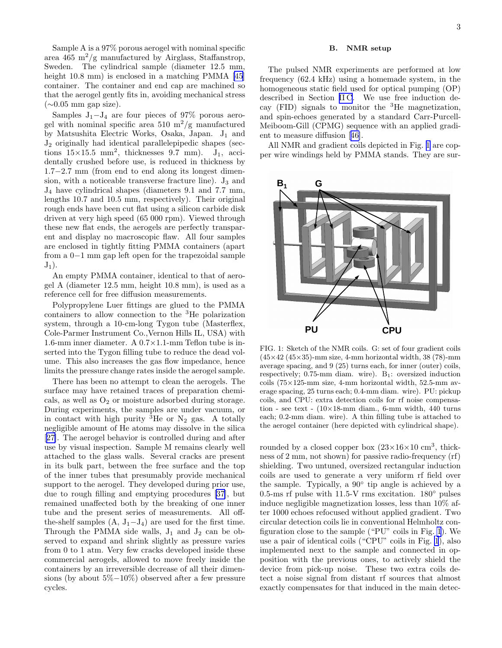<span id="page-3-0"></span>Sample A is a 97% porous aerogel with nominal specific area 465 m<sup>2</sup>/g manufactured by Airglass, Staffanstrop, Sweden. The cylindrical sample (diameter 12.5 mm, height 10.8 mm) is enclosed in a matching PMMA [\[45](#page-18-0)] container. The container and end cap are machined so that the aerogel gently fits in, avoiding mechanical stress  $(\sim 0.05$  mm gap size).

Samples  $J_1-J_4$  are four pieces of 97% porous aerogel with nominal specific area 510  $\mathrm{m}^2/\mathrm{g}$  manufactured by Matsushita Electric Works, Osaka, Japan. J<sup>1</sup> and J<sup>2</sup> originally had identical parallelepipedic shapes (sections  $15\times15.5$  mm<sup>2</sup>, thicknesses 9.7 mm). J<sub>1</sub>, accidentally crushed before use, is reduced in thickness by 1.7−2.7 mm (from end to end along its longest dimension, with a noticeable transverse fracture line).  $J_3$  and J<sup>4</sup> have cylindrical shapes (diameters 9.1 and 7.7 mm, lengths 10.7 and 10.5 mm, respectively). Their original rough ends have been cut flat using a silicon carbide disk driven at very high speed (65 000 rpm). Viewed through these new flat ends, the aerogels are perfectly transparent and display no macroscopic flaw. All four samples are enclosed in tightly fitting PMMA containers (apart from a 0−1 mm gap left open for the trapezoidal sample  $J_1$ ).

An empty PMMA container, identical to that of aerogel A (diameter 12.5 mm, height 10.8 mm), is used as a reference cell for free diffusion measurements.

Polypropylene Luer fittings are glued to the PMMA containers to allow connection to the <sup>3</sup>He polarization system, through a 10-cm-long Tygon tube (Masterflex, Cole-Parmer Instrument Co.,Vernon Hills IL, USA) with 1.6-mm inner diameter. A 0.7×1.1-mm Teflon tube is inserted into the Tygon filling tube to reduce the dead volume. This also increases the gas flow impedance, hence limits the pressure change rates inside the aerogel sample.

There has been no attempt to clean the aerogels. The surface may have retained traces of preparation chemicals, as well as  $O<sub>2</sub>$  or moisture adsorbed during storage. During experiments, the samples are under vacuum, or in contact with high purity  ${}^{3}$ He or N<sub>2</sub> gas. A totally negligible amount of He atoms may dissolve in the silica [[27\]](#page-18-0). The aerogel behavior is controlled during and after use by visual inspection. Sample M remains clearly well attached to the glass walls. Several cracks are present in its bulk part, between the free surface and the top of the inner tubes that presumably provide mechanical support to the aerogel. They developed during prior use, due to rough filling and emptying procedures [\[37](#page-18-0)], but remained unaffected both by the breaking of one inner tube and the present series of measurements. All offthe-shelf samples  $(A, J_1-J_4)$  are used for the first time. Through the PMMA side walls,  $J_1$  and  $J_2$  can be observed to expand and shrink slightly as pressure varies from 0 to 1 atm. Very few cracks developed inside these commercial aerogels, allowed to move freely inside the containers by an irreversible decrease of all their dimensions (by about 5%−10%) observed after a few pressure cycles.

### B. NMR setup

The pulsed NMR experiments are performed at low frequency (62.4 kHz) using a homemade system, in the homogeneous static field used for optical pumping (OP) described in Section [II C.](#page-4-0) We use free induction decay (FID) signals to monitor the  ${}^{3}$ He magnetization, and spin-echoes generated by a standard Carr-Purcell-Meiboom-Gill (CPMG) sequence with an applied gradient to measure diffusion[[46\]](#page-18-0).

All NMR and gradient coils depicted in Fig. 1 are copper wire windings held by PMMA stands. They are sur-



FIG. 1: Sketch of the NMR coils. G: set of four gradient coils  $(45\times42(45\times35)$ -mm size, 4-mm horizontal width, 38 (78)-mm average spacing, and 9 (25) turns each, for inner (outer) coils, respectively;  $0.75$ -mm diam. wire).  $B_1$ : oversized induction coils (75×125-mm size, 4-mm horizontal width, 52.5-mm average spacing, 25 turns each; 0.4-mm diam. wire). PU: pickup coils, and CPU: extra detection coils for rf noise compensation - see text -  $(10\times18$ -mm diam., 6-mm width, 440 turns each; 0.2-mm diam. wire). A thin filling tube is attached to the aerogel container (here depicted with cylindrical shape).

rounded by a closed copper box  $(23\times16\times10 \text{ cm}^3, \text{ thick}$ ness of 2 mm, not shown) for passive radio-frequency (rf) shielding. Two untuned, oversized rectangular induction coils are used to generate a very uniform rf field over the sample. Typically, a 90◦ tip angle is achieved by a 0.5-ms rf pulse with 11.5-V rms excitation.  $180^\circ$  pulses induce negligible magnetization losses, less than 10% after 1000 echoes refocused without applied gradient. Two circular detection coils lie in conventional Helmholtz configuration close to the sample ("PU" coils in Fig. 1). We use a pair of identical coils ("CPU" coils in Fig. 1), also implemented next to the sample and connected in opposition with the previous ones, to actively shield the device from pick-up noise. These two extra coils detect a noise signal from distant rf sources that almost exactly compensates for that induced in the main detec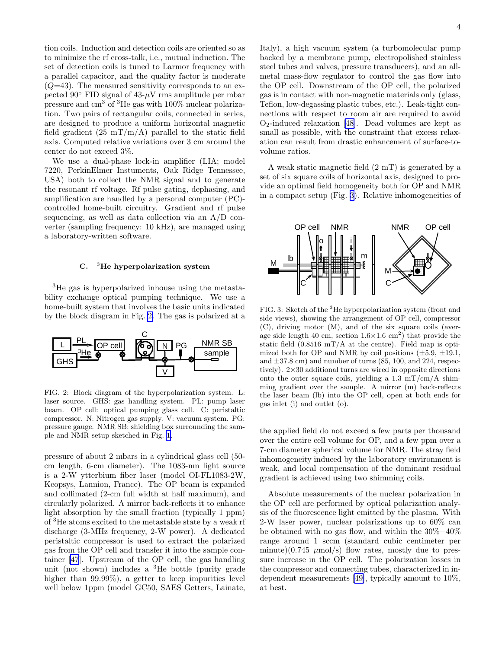<span id="page-4-0"></span>tion coils. Induction and detection coils are oriented so as to minimize the rf cross-talk, i.e., mutual induction. The set of detection coils is tuned to Larmor frequency with a parallel capacitor, and the quality factor is moderate  $(Q=43)$ . The measured sensitivity corresponds to an expected 90 $\degree$  FID signal of 43- $\mu$ V rms amplitude per mbar pressure and cm<sup>3</sup> of <sup>3</sup>He gas with 100% nuclear polarization. Two pairs of rectangular coils, connected in series, are designed to produce a uniform horizontal magnetic field gradient  $(25 \text{ mT/m/A})$  parallel to the static field axis. Computed relative variations over 3 cm around the center do not exceed 3%.

We use a dual-phase lock-in amplifier (LIA; model 7220, PerkinElmer Instuments, Oak Ridge Tennessee, USA) both to collect the NMR signal and to generate the resonant rf voltage. Rf pulse gating, dephasing, and amplification are handled by a personal computer (PC) controlled home-built circuitry. Gradient and rf pulse sequencing, as well as data collection via an A/D converter (sampling frequency: 10 kHz), are managed using a laboratory-written software.

### C.  $3$ He hyperpolarization system

<sup>3</sup>He gas is hyperpolarized inhouse using the metastability exchange optical pumping technique. We use a home-built system that involves the basic units indicated by the block diagram in Fig. 2. The gas is polarized at a



FIG. 2: Block diagram of the hyperpolarization system. L: laser source. GHS: gas handling system. PL: pump laser beam. OP cell: optical pumping glass cell. C: peristaltic compressor. N: Nitrogen gas supply. V: vacuum system. PG: pressure gauge. NMR SB: shielding box surrounding the sample and NMR setup sketched in Fig. [1.](#page-3-0)

pressure of about 2 mbars in a cylindrical glass cell (50 cm length, 6-cm diameter). The 1083-nm light source is a 2-W ytterbium fiber laser (model OI-FL1083-2W, Keopsys, Lannion, France). The OP beam is expanded and collimated (2-cm full width at half maximum), and circularly polarized. A mirror back-reflects it to enhance light absorption by the small fraction (typically 1 ppm) of <sup>3</sup>He atoms excited to the metastable state by a weak rf discharge (3-MHz frequency, 2-W power). A dedicated peristaltic compressor is used to extract the polarized gas from the OP cell and transfer it into the sample container [\[47](#page-18-0)]. Upstream of the OP cell, the gas handling unit (not shown) includes a  ${}^{3}$ He bottle (purity grade higher than 99.99%), a getter to keep impurities level well below 1ppm (model GC50, SAES Getters, Lainate,

Italy), a high vacuum system (a turbomolecular pump backed by a membrane pump, electropolished stainless steel tubes and valves, pressure transducers), and an allmetal mass-flow regulator to control the gas flow into the OP cell. Downstream of the OP cell, the polarized gas is in contact with non-magnetic materials only (glass, Teflon, low-degassing plastic tubes, etc.). Leak-tight connections with respect to room air are required to avoid  $O_2$ -inducedrelaxation [[48\]](#page-18-0). Dead volumes are kept as small as possible, with the constraint that excess relaxation can result from drastic enhancement of surface-tovolume ratios.

A weak static magnetic field (2 mT) is generated by a set of six square coils of horizontal axis, designed to provide an optimal field homogeneity both for OP and NMR in a compact setup (Fig. 3). Relative inhomogeneities of



FIG. 3: Sketch of the <sup>3</sup>He hyperpolarization system (front and side views), showing the arrangement of OP cell, compressor (C), driving motor (M), and of the six square coils (average side length 40 cm, section  $1.6 \times 1.6$  cm<sup>2</sup>) that provide the static field  $(0.8516 \text{ mT/A}$  at the centre). Field map is optimized both for OP and NMR by coil positions  $(\pm 5.9, \pm 19.1,$ and  $\pm 37.8$  cm) and number of turns (85, 100, and 224, respectively).  $2\times30$  additional turns are wired in opposite directions onto the outer square coils, yielding a  $1.3 \text{ mT/cm/A}$  shimming gradient over the sample. A mirror (m) back-reflects the laser beam (lb) into the OP cell, open at both ends for gas inlet (i) and outlet (o).

the applied field do not exceed a few parts per thousand over the entire cell volume for OP, and a few ppm over a 7-cm diameter spherical volume for NMR. The stray field inhomogeneity induced by the laboratory environment is weak, and local compensation of the dominant residual gradient is achieved using two shimming coils.

Absolute measurements of the nuclear polarization in the OP cell are performed by optical polarization analysis of the fluorescence light emitted by the plasma. With 2-W laser power, nuclear polarizations up to 60% can be obtained with no gas flow, and within the 30%−40% range around 1 sccm (standard cubic centimeter per minute)(0.745  $\mu$ mol/s) flow rates, mostly due to pressure increase in the OP cell. The polarization losses in the compressor and connecting tubes, characterized in independent measurements[[49\]](#page-18-0), typically amount to 10%, at best.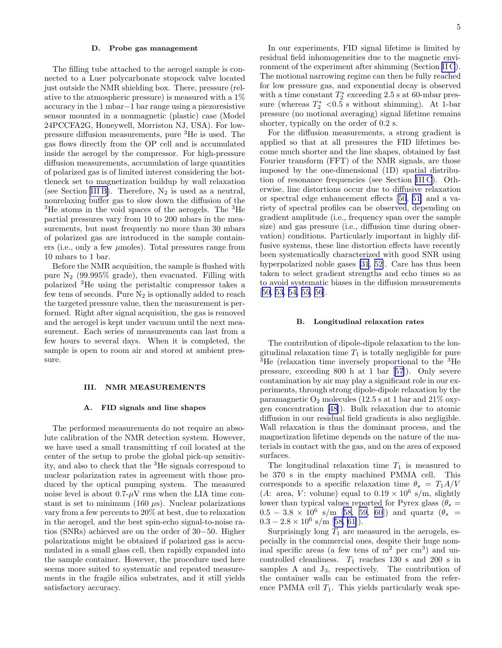### D. Probe gas management

The filling tube attached to the aerogel sample is connected to a Luer polycarbonate stopcock valve located just outside the NMR shielding box. There, pressure (relative to the atmospheric pressure) is measured with a 1% accuracy in the 1 mbar−1 bar range using a piezoresistive sensor mounted in a nonmagnetic (plastic) case (Model 24PCCFA2G, Honeywell, Morriston NJ, USA). For lowpressure diffusion measurements, pure <sup>3</sup>He is used. The gas flows directly from the OP cell and is accumulated inside the aerogel by the compressor. For high-pressure diffusion measurements, accumulation of large quantities of polarized gas is of limited interest considering the bottleneck set to magnetization buildup by wall relaxation (see Section III B). Therefore,  $N_2$  is used as a neutral, nonrelaxing buffer gas to slow down the diffusion of the <sup>3</sup>He atoms in the void spaces of the aerogels. The <sup>3</sup>He partial pressures vary from 10 to 200 mbars in the measurements, but most frequently no more than 30 mbars of polarized gas are introduced in the sample containers (i.e., only a few  $\mu$ moles). Total pressures range from 10 mbars to 1 bar.

Before the NMR acquisition, the sample is flushed with pure  $N_2$  (99.995% grade), then evacuated. Filling with polarized <sup>3</sup>He using the peristaltic compressor takes a few tens of seconds. Pure  $N_2$  is optionally added to reach the targeted pressure value, then the measurement is performed. Right after signal acquisition, the gas is removed and the aerogel is kept under vacuum until the next measurement. Each series of measurements can last from a few hours to several days. When it is completed, the sample is open to room air and stored at ambient pressure.

### III. NMR MEASUREMENTS

### A. FID signals and line shapes

The performed measurements do not require an absolute calibration of the NMR detection system. However, we have used a small transmitting rf coil located at the center of the setup to probe the global pick-up sensitivity, and also to check that the <sup>3</sup>He signals correspond to nuclear polarization rates in agreement with those produced by the optical pumping system. The measured noise level is about  $0.7-\mu\text{V}$  rms when the LIA time constant is set to minimum (160  $\mu$ s). Nuclear polarizations vary from a few percents to 20% at best, due to relaxation in the aerogel, and the best spin-echo signal-to-noise ratios (SNRs) achieved are on the order of 30−50. Higher polarizations might be obtained if polarized gas is accumulated in a small glass cell, then rapidly expanded into the sample container. However, the procedure used here seems more suited to systematic and repeated measurements in the fragile silica substrates, and it still yields satisfactory accuracy.

In our experiments, FID signal lifetime is limited by residual field inhomogeneities due to the magnetic environment of the experiment after shimming (Section [II C](#page-4-0)). The motional narrowing regime can then be fully reached for low pressure gas, and exponential decay is observed with a time constant  $T_2^*$  exceeding 2.5 s at 60-mbar pressure (whereas  $T_2^*$  <0.5 s without shimming). At 1-bar pressure (no motional averaging) signal lifetime remains shorter, typically on the order of 0.2 s.

For the diffusion measurements, a strong gradient is applied so that at all pressures the FID lifetimes become much shorter and the line shapes, obtained by fast Fourier transform (FFT) of the NMR signals, are those imposed by the one-dimensional (1D) spatial distribution of resonance frequencies (see Section [III C](#page-6-0)). Otherwise, line distortions occur due to diffusive relaxation or spectral edge enhancement effects [\[50](#page-18-0), [51](#page-18-0)] and a variety of spectral profiles can be observed, depending on gradient amplitude (i.e., frequency span over the sample size) and gas pressure (i.e., diffusion time during observation) conditions. Particularly important in highly diffusive systems, these line distortion effects have recently been systematically characterized with good SNR using hyperpolarized noble gases [\[31](#page-18-0), [52\]](#page-18-0). Care has thus been taken to select gradient strengths and echo times so as to avoid systematic biases in the diffusion measurements [[50, 53,](#page-18-0) [54, 55, 56\]](#page-19-0).

### B. Longitudinal relaxation rates

The contribution of dipole-dipole relaxation to the longitudinal relaxation time  $T_1$  is totally negligible for pure <sup>3</sup>He (relaxation time inversely proportional to the <sup>3</sup>He pressure, exceeding 800 h at 1 bar [\[57](#page-19-0)]). Only severe contamination by air may play a significant role in our experiments, through strong dipole-dipole relaxation by the paramagnetic  $O_2$  molecules (12.5 s at 1 bar and 21% oxygen concentration[[48\]](#page-18-0)). Bulk relaxation due to atomic diffusion in our residual field gradients is also negligible. Wall relaxation is thus the dominant process, and the magnetization lifetime depends on the nature of the materials in contact with the gas, and on the area of exposed surfaces.

The longitudinal relaxation time  $T_1$  is measured to be 370 s in the empty machined PMMA cell. This corresponds to a specific relaxation time  $\theta_s = T_1 A/V$ (A: area, V: volume) equal to  $0.19 \times 10^6$  s/m, slightly lower than typical values reported for Pyrex glass ( $\theta_s =$  $0.5 - 3.8 \times 10^6 \text{ s/m}$  [\[58, 59, 60](#page-19-0)]) and quartz  $(\theta_s =$  $0.3 - 2.8 \times 10^6$  $0.3 - 2.8 \times 10^6$  $0.3 - 2.8 \times 10^6$  s/m [[58, 61\]](#page-19-0)).

Surprisingly long  $T_1$  are measured in the aerogels, especially in the commercial ones, despite their huge nominal specific areas (a few tens of  $m<sup>2</sup>$  per cm<sup>3</sup>) and uncontrolled cleanliness.  $T_1$  reaches 130 s and 200 s in samples A and  $J_3$ , respectively. The contribution of the container walls can be estimated from the reference PMMA cell  $T_1$ . This yields particularly weak spe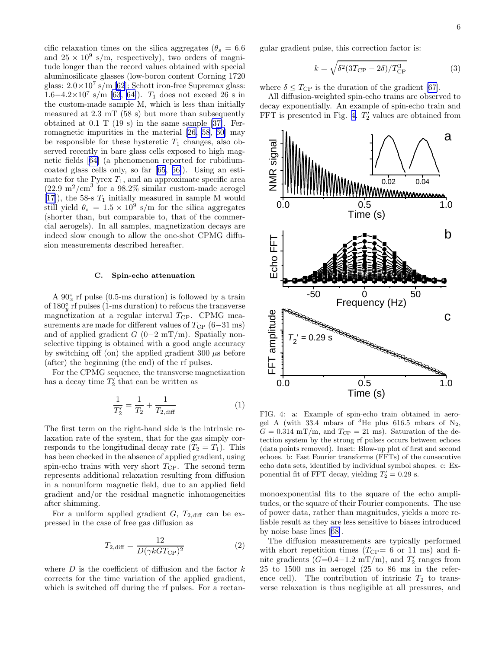<span id="page-6-0"></span>cific relaxation times on the silica aggregates ( $\theta_s = 6.6$ ) and  $25 \times 10^9$  s/m, respectively), two orders of magnitude longer than the record values obtained with special aluminosilicate glasses (low-boron content Corning 1720 glass:  $2.0 \times 10^7$  s/m [\[62](#page-19-0)]; Schott iron-free Supremax glass:  $1.6-4.2\times10^7$  s/m [\[63](#page-19-0), [64\]](#page-19-0)).  $T_1$  does not exceed 26 s in the custom-made sample M, which is less than initially measured at 2.3 mT (58 s) but more than subsequently obtained at 0.1 T (19 s) in the same sample [\[37\]](#page-18-0). Ferromagnetic impurities in the material[[26,](#page-18-0) [58](#page-19-0), [60\]](#page-19-0) may be responsible for these hysteretic  $T_1$  changes, also observed recently in bare glass cells exposed to high magnetic fields[[64\]](#page-19-0) (a phenomenon reported for rubidiumcoated glass cells only, so far [\[65](#page-19-0), [66\]](#page-19-0)). Using an estimate for the Pyrex  $T_1$ , and an approximate specific area  $(22.9 \text{ m}^2/\text{cm}^3 \text{ for a } 98.2\% \text{ similar custom-made aerogel})$  $[17]$  $[17]$ , the 58-s  $T_1$  initially measured in sample M would still yield  $\theta_s = 1.5 \times 10^9$  s/m for the silica aggregates (shorter than, but comparable to, that of the commercial aerogels). In all samples, magnetization decays are indeed slow enough to allow the one-shot CPMG diffusion measurements described hereafter.

### C. Spin-echo attenuation

A  $90^\circ_x$  rf pulse (0.5-ms duration) is followed by a train of  $180<sub>y</sub><sup>°</sup>$  rf pulses (1-ms duration) to refocus the transverse magnetization at a regular interval  $T_{\rm CP}$ . CPMG measurements are made for different values of  $T_{\rm CP}$  (6–31 ms) and of applied gradient  $G$  (0−2 mT/m). Spatially nonselective tipping is obtained with a good angle accuracy by switching off (on) the applied gradient  $300 \mu s$  before (after) the beginning (the end) of the rf pulses.

For the CPMG sequence, the transverse magnetization has a decay time  $T_2'$  that can be written as

$$
\frac{1}{T_2'} = \frac{1}{T_2} + \frac{1}{T_{2,\text{diff}}} \tag{1}
$$

The first term on the right-hand side is the intrinsic relaxation rate of the system, that for the gas simply corresponds to the longitudinal decay rate  $(T_2 = T_1)$ . This has been checked in the absence of applied gradient, using spin-echo trains with very short  $T_{\text{CP}}$ . The second term represents additional relaxation resulting from diffusion in a nonuniform magnetic field, due to an applied field gradient and/or the residual magnetic inhomogeneities after shimming.

For a uniform applied gradient  $G, T_{2,\text{diff}}$  can be expressed in the case of free gas diffusion as

$$
T_{2\text{,diff}} = \frac{12}{D(\gamma k G T_{\text{CP}})^2} \tag{2}
$$

where  $D$  is the coefficient of diffusion and the factor  $k$ corrects for the time variation of the applied gradient, which is switched off during the rf pulses. For a rectangular gradient pulse, this correction factor is:

$$
k = \sqrt{\delta^2 (3T_{\rm CP} - 2\delta)/T_{\rm CP}^3} \tag{3}
$$

where  $\delta \leq T_{\rm CP}$  is the duration of the gradient [\[67\]](#page-19-0).

All diffusion-weighted spin-echo trains are observed to decay exponentially. An example of spin-echo train and FFT is presented in Fig. 4.  $T_2'$  values are obtained from



FIG. 4: a: Example of spin-echo train obtained in aerogel A (with 33.4 mbars of  ${}^{3}$ He plus 616.5 mbars of N<sub>2</sub>,  $G = 0.314$  mT/m, and  $T_{\rm CP} = 21$  ms). Saturation of the detection system by the strong rf pulses occurs between echoes (data points removed). Inset: Blow-up plot of first and second echoes. b: Fast Fourier transforms (FFTs) of the consecutive echo data sets, identified by individual symbol shapes. c: Exponential fit of FFT decay, yielding  $T'_2 = 0.29$  s.

monoexponential fits to the square of the echo amplitudes, or the square of their Fourier components. The use of power data, rather than magnitudes, yields a more reliable result as they are less sensitive to biases introduced by noise base lines[[68\]](#page-19-0).

The diffusion measurements are typically performed with short repetition times  $(T_{\text{CP}}= 6 \text{ or } 11 \text{ ms})$  and finite gradients ( $G=0.4-1.2$  mT/m), and  $T'_2$  ranges from 25 to 1500 ms in aerogel (25 to 86 ms in the reference cell). The contribution of intrinsic  $T_2$  to transverse relaxation is thus negligible at all pressures, and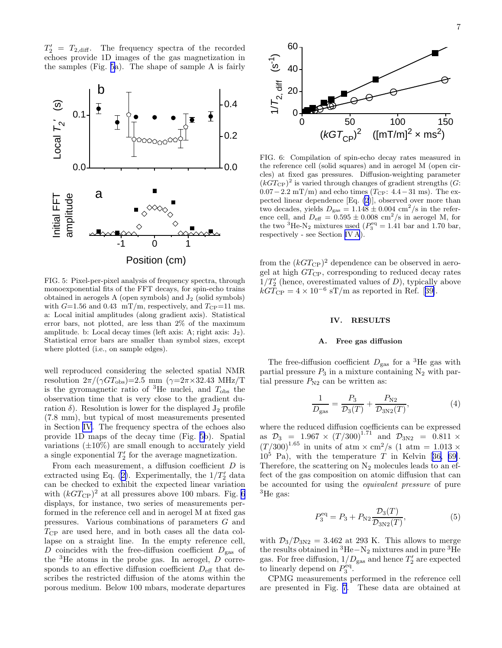<span id="page-7-0"></span> $T_2' = T_{2,\text{diff}}$ . The frequency spectra of the recorded echoes provide 1D images of the gas magnetization in the samples (Fig. 5a). The shape of sample A is fairly



FIG. 5: Pixel-per-pixel analysis of frequency spectra, through monoexponential fits of the FFT decays, for spin-echo trains obtained in aerogels  $A$  (open symbols) and  $J_2$  (solid symbols) with  $G=1.56$  and 0.43 mT/m, respectively, and  $T_{\rm CP}=11$  ms. a: Local initial amplitudes (along gradient axis). Statistical error bars, not plotted, are less than 2% of the maximum amplitude. b: Local decay times (left axis:  $A$ ; right axis:  $J_2$ ). Statistical error bars are smaller than symbol sizes, except where plotted (i.e., on sample edges).

well reproduced considering the selected spatial NMR resolution  $2\pi/(\gamma GT_{\text{obs}})=2.5$  mm  $(\gamma=2\pi\times32.43 \text{ MHz/T})$ is the gyromagnetic ratio of  ${}^{3}$ He nuclei, and  $T_{obs}$  the observation time that is very close to the gradient duration  $\delta$ ). Resolution is lower for the displayed  $J_2$  profile (7.8 mm), but typical of most measurements presented in Section IV. The frequency spectra of the echoes also provide 1D maps of the decay time (Fig. 5b). Spatial variations  $(\pm 10\%)$  are small enough to accurately yield a single exponential  $T_2'$  for the average magnetization.

From each measurement, a diffusion coefficient D is extracted using Eq. ([2\)](#page-6-0). Experimentally, the  $1/T'_2$  data can be checked to exhibit the expected linear variation with  $(kGT_{\text{CP}})^2$  at all pressures above 100 mbars. Fig. 6 displays, for instance, two series of measurements performed in the reference cell and in aerogel M at fixed gas pressures. Various combinations of parameters G and  $T_{\text{CP}}$  are used here, and in both cases all the data collapse on a straight line. In the empty reference cell, D coincides with the free-diffusion coefficient  $D_{\text{gas}}$  of the  ${}^{3}$ He atoms in the probe gas. In aerogel, D corresponds to an effective diffusion coefficient  $D_{\text{eff}}$  that describes the restricted diffusion of the atoms within the porous medium. Below 100 mbars, moderate departures



FIG. 6: Compilation of spin-echo decay rates measured in the reference cell (solid squares) and in aerogel M (open circles) at fixed gas pressures. Diffusion-weighting parameter  $(kGT_{\text{CP}})^2$  is varied through changes of gradient strengths (G:  $0.07-2.2$  mT/m) and echo times (T<sub>CP</sub>:  $4.4-31$  ms). The expected linear dependence [Eq. [\(2\)](#page-6-0)], observed over more than two decades, yields  $D_{\text{gas}} = 1.148 \pm 0.004 \text{ cm}^2/\text{s}$  in the reference cell, and  $D_{\text{eff}} = 0.595 \pm 0.008 \text{ cm}^2/\text{s}$  in aerogel M, for the two <sup>3</sup>He-N<sub>2</sub> mixtures used ( $P_3^{\text{eq}} = 1.41$  bar and 1.70 bar, respectively - see Section IV A).

from the  $(kGT_{\text{CP}})^2$  dependence can be observed in aerogel at high  $GT_{\text{CP}}$ , corresponding to reduced decay rates  $1/T'_{2}$  (hence, overestimated values of D), typically above  $kGT_{\text{CP}} = 4 \times 10^{-6} \text{ sT/m}$  $kGT_{\text{CP}} = 4 \times 10^{-6} \text{ sT/m}$  $kGT_{\text{CP}} = 4 \times 10^{-6} \text{ sT/m}$  as reported in Ref. [[39\]](#page-18-0).

### IV. RESULTS

### A. Free gas diffusion

The free-diffusion coefficient  $D_{\text{gas}}$  for a <sup>3</sup>He gas with partial pressure  $P_3$  in a mixture containing  $N_2$  with partial pressure  $P_{N2}$  can be written as:

$$
\frac{1}{D_{\rm gas}} = \frac{P_3}{\mathcal{D}_3(T)} + \frac{P_{\rm N2}}{\mathcal{D}_{3\rm N2}(T)},\tag{4}
$$

where the reduced diffusion coefficients can be expressed as  $\mathcal{D}_3 = 1.967 \times (T/300)^{1.71}$  and  $\mathcal{D}_{3N2} = 0.811 \times$  $(T/300)^{1.65}$  in units of atm  $\times$  cm<sup>2</sup>/s (1 atm = 1.013  $\times$  $10^5$ Pa), with the temperature T in Kelvin [[36,](#page-18-0) [69\]](#page-19-0). Therefore, the scattering on  $N_2$  molecules leads to an effect of the gas composition on atomic diffusion that can be accounted for using the equivalent pressure of pure <sup>3</sup>He gas:

$$
P_3^{\text{eq}} = P_3 + P_{\text{N2}} \frac{\mathcal{D}_3(T)}{\mathcal{D}_{3\text{N2}}(T)},\tag{5}
$$

with  $\mathcal{D}_3/\mathcal{D}_{3N2} = 3.462$  at 293 K. This allows to merge the results obtained in  ${}^{3}$ He−N<sub>2</sub> mixtures and in pure  ${}^{3}$ He gas. For free diffusion,  $1/D_{\text{gas}}$  and hence  $T'_{2}$  are expected to linearly depend on  $P_3^{\text{eq}}$ .

CPMG measurements performed in the reference cell are presented in Fig. [7](#page-8-0). These data are obtained at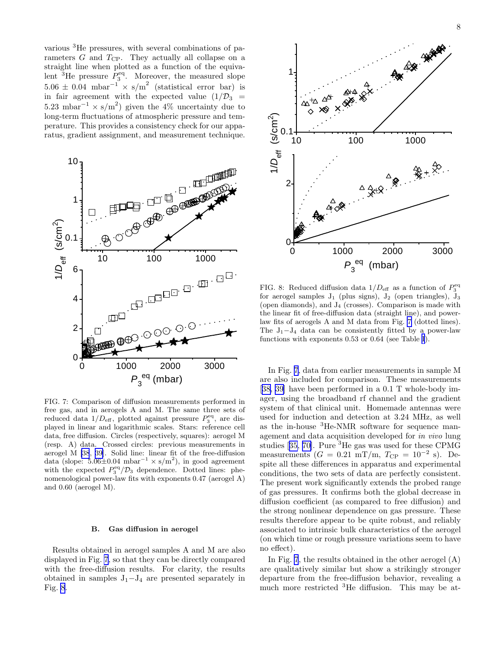<span id="page-8-0"></span>various <sup>3</sup>He pressures, with several combinations of parameters  $G$  and  $T_{\text{CP}}$ . They actually all collapse on a straight line when plotted as a function of the equivalent  ${}^{3}$ He pressure  $P_3^{\text{eq}}$ . Moreover, the measured slope  $5.06 \pm 0.04$  mbar<sup>-1</sup> × s/m<sup>2</sup> (statistical error bar) is in fair agreement with the expected value  $(1/\mathcal{D}_3)$  =  $5.23 \text{ mbar}^{-1} \times \text{s/m}^2$  given the 4% uncertainty due to long-term fluctuations of atmospheric pressure and temperature. This provides a consistency check for our apparatus, gradient assignment, and measurement technique.



FIG. 7: Comparison of diffusion measurements performed in free gas, and in aerogels A and M. The same three sets of reduced data  $1/D_{\text{eff}}$ , plotted against pressure  $P_3^{\text{eq}}$ , are displayed in linear and logarithmic scales. Stars: reference cell data, free diffusion. Circles (respectively, squares): aerogel M (resp. A) data. Crossed circles: previous measurements in aerogel M [\[38](#page-18-0), [39](#page-18-0)]. Solid line: linear fit of the free-diffusion data (slope: 5.06 $\pm$ 0.04 mbar<sup>-1</sup> × s/m<sup>2</sup>), in good agreement with the expected  $P_3^{\text{eq}}/\mathcal{D}_3$  dependence. Dotted lines: phenomenological power-law fits with exponents 0.47 (aerogel A) and 0.60 (aerogel M).

### B. Gas diffusion in aerogel

Results obtained in aerogel samples A and M are also displayed in Fig. 7, so that they can be directly compared with the free-diffusion results. For clarity, the results obtained in samples  $J_1-J_4$  are presented separately in Fig. 8.



FIG. 8: Reduced diffusion data  $1/D_{\text{eff}}$  as a function of  $P_3^{\text{eq}}$ for aerogel samples  $J_1$  (plus signs),  $J_2$  (open triangles),  $J_3$ (open diamonds), and  $J_4$  (crosses). Comparison is made with the linear fit of free-diffusion data (straight line), and powerlaw fits of aerogels A and M data from Fig. 7 (dotted lines). The  $J_1-J_4$  data can be consistently fitted by a power-law functions with exponents 0.53 or 0.64 (see Table [I](#page-10-0)).

In Fig. 7, data from earlier measurements in sample M are also included for comparison. These measurements [[38, 39\]](#page-18-0) have been performed in a 0.1 T whole-body imager, using the broadband rf channel and the gradient system of that clinical unit. Homemade antennas were used for induction and detection at 3.24 MHz, as well as the in-house <sup>3</sup>He-NMR software for sequence management and data acquisition developed for in vivo lung studies[[35,](#page-18-0) [70\]](#page-19-0). Pure  ${}^{3}$ He gas was used for these CPMG measurements  $(G = 0.21 \text{ mT/m}, T_{\text{CP}} = 10^{-2} \text{ s}).$  Despite all these differences in apparatus and experimental conditions, the two sets of data are perfectly consistent. The present work significantly extends the probed range of gas pressures. It confirms both the global decrease in diffusion coefficient (as compared to free diffusion) and the strong nonlinear dependence on gas pressure. These results therefore appear to be quite robust, and reliably associated to intrinsic bulk characteristics of the aerogel (on which time or rough pressure variations seem to have no effect).

In Fig. 7, the results obtained in the other aerogel (A) are qualitatively similar but show a strikingly stronger departure from the free-diffusion behavior, revealing a much more restricted <sup>3</sup>He diffusion. This may be at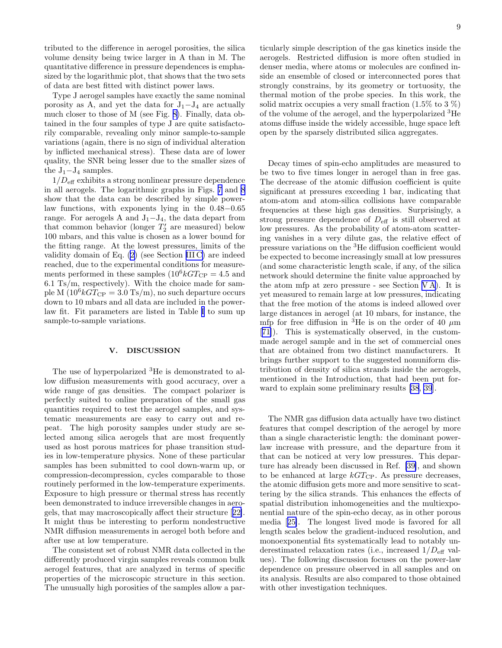tributed to the difference in aerogel porosities, the silica volume density being twice larger in A than in M. The quantitative difference in pressure dependences is emphasized by the logarithmic plot, that shows that the two sets of data are best fitted with distinct power laws.

Type J aerogel samples have exactly the same nominal porosity as A, and yet the data for  $J_1-J_4$  are actually much closer to those of M (see Fig. [8\)](#page-8-0). Finally, data obtained in the four samples of type J are quite satisfactorily comparable, revealing only minor sample-to-sample variations (again, there is no sign of individual alteration by inflicted mechanical stress). These data are of lower quality, the SNR being lesser due to the smaller sizes of the  $J_1-J_4$  samples.

 $1/D<sub>eff</sub>$  exhibits a strong nonlinear pressure dependence in all aerogels. The logarithmic graphs in Figs. [7](#page-8-0) and [8](#page-8-0) show that the data can be described by simple powerlaw functions, with exponents lying in the 0.48−0.65 range. For aerogels A and  $J_1-J_4$ , the data depart from that common behavior (longer  $T_2'$  are measured) below 100 mbars, and this value is chosen as a lower bound for the fitting range. At the lowest pressures, limits of the validity domain of Eq. [\(2](#page-6-0)) (see Section [III C\)](#page-6-0) are indeed reached, due to the experimental conditions for measurements performed in these samples  $(10^6 kGT_{CP} = 4.5$  and 6.1 Ts/m, respectively). With the choice made for sample M  $(10^6 kG T_{\rm CP} = 3.0 \text{ Ts/m})$ , no such departure occurs down to 10 mbars and all data are included in the powerlaw fit. Fit parameters are listed in Table [I](#page-10-0) to sum up sample-to-sample variations.

### V. DISCUSSION

The use of hyperpolarized <sup>3</sup>He is demonstrated to allow diffusion measurements with good accuracy, over a wide range of gas densities. The compact polarizer is perfectly suited to online preparation of the small gas quantities required to test the aerogel samples, and systematic measurements are easy to carry out and repeat. The high porosity samples under study are selected among silica aerogels that are most frequently used as host porous matrices for phase transition studies in low-temperature physics. None of these particular samples has been submitted to cool down-warm up, or compression-decompression, cycles comparable to those routinely performed in the low-temperature experiments. Exposure to high pressure or thermal stress has recently been demonstrated to induce irreversible changes in aerogels, that may macroscopically affect their structure[[22\]](#page-18-0). It might thus be interesting to perform nondestructive NMR diffusion measurements in aerogel both before and after use at low temperature.

The consistent set of robust NMR data collected in the differently produced virgin samples reveals common bulk aerogel features, that are analyzed in terms of specific properties of the microscopic structure in this section. The unusually high porosities of the samples allow a par-

ticularly simple description of the gas kinetics inside the aerogels. Restricted diffusion is more often studied in denser media, where atoms or molecules are confined inside an ensemble of closed or interconnected pores that strongly constrains, by its geometry or tortuosity, the thermal motion of the probe species. In this work, the solid matrix occupies a very small fraction  $(1.5\% \text{ to } 3\%)$ of the volume of the aerogel, and the hyperpolarized <sup>3</sup>He atoms diffuse inside the widely accessible, huge space left open by the sparsely distributed silica aggregates.

Decay times of spin-echo amplitudes are measured to be two to five times longer in aerogel than in free gas. The decrease of the atomic diffusion coefficient is quite significant at pressures exceeding 1 bar, indicating that atom-atom and atom-silica collisions have comparable frequencies at these high gas densities. Surprisingly, a strong pressure dependence of  $D_{\text{eff}}$  is still observed at low pressures. As the probability of atom-atom scattering vanishes in a very dilute gas, the relative effect of pressure variations on the <sup>3</sup>He diffusion coefficient would be expected to become increasingly small at low pressures (and some characteristic length scale, if any, of the silica network should determine the finite value approached by the atom mfp at zero pressure - see Section [V A](#page-10-0)). It is yet measured to remain large at low pressures, indicating that the free motion of the atoms is indeed allowed over large distances in aerogel (at 10 mbars, for instance, the mfp for free diffusion in <sup>3</sup>He is on the order of 40  $\mu$ m [[71\]](#page-19-0)). This is systematically observed, in the custommade aerogel sample and in the set of commercial ones that are obtained from two distinct manufacturers. It brings further support to the suggested nonuniform distribution of density of silica strands inside the aerogels, mentioned in the Introduction, that had been put forward to explain some preliminary results [\[38](#page-18-0), [39](#page-18-0)].

The NMR gas diffusion data actually have two distinct features that compel description of the aerogel by more than a single characteristic length: the dominant powerlaw increase with pressure, and the departure from it that can be noticed at very low pressures. This departure has already been discussed in Ref. [\[39\]](#page-18-0), and shown to be enhanced at large  $kGT_{\text{CP}}$ . As pressure decreases, the atomic diffusion gets more and more sensitive to scattering by the silica strands. This enhances the effects of spatial distribution inhomogeneities and the multiexponential nature of the spin-echo decay, as in other porous media[[25\]](#page-18-0). The longest lived mode is favored for all length scales below the gradient-induced resolution, and monoexponential fits systematically lead to notably underestimated relaxation rates (i.e., increased  $1/D<sub>eff</sub>$  values). The following discussion focuses on the power-law dependence on pressure observed in all samples and on its analysis. Results are also compared to those obtained with other investigation techniques.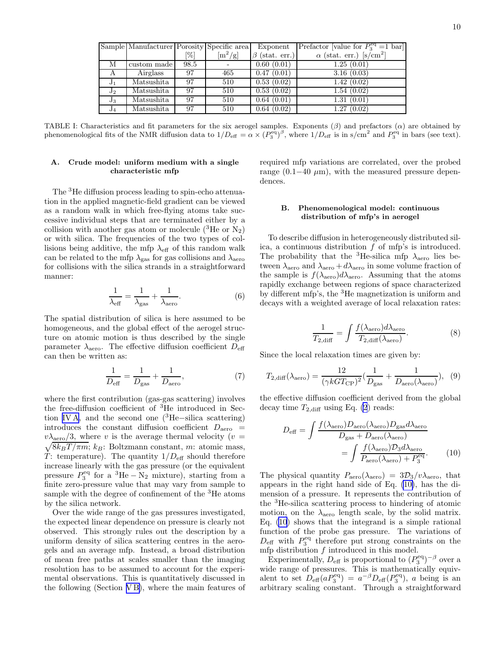<span id="page-10-0"></span>

|         | Sample Manufacturer Porosity Specific area |      |                                    | Exponent             | Prefactor [value for $P_3^{\text{eq}} = 1$ bar] |
|---------|--------------------------------------------|------|------------------------------------|----------------------|-------------------------------------------------|
|         |                                            | [%]  | $\left[\text{m}^2/\text{g}\right]$ | $\beta$ (stat. err.) | $\alpha$ (stat. err.) [s/cm <sup>2</sup> ]      |
| М       | custom made                                | 98.5 |                                    | 0.60(0.01)           | 1.25(0.01)                                      |
| A       | Airglass                                   | 97   | 465                                | 0.47(0.01)           | 3.16(0.03)                                      |
| $J_1$   | Matsushita                                 | 97   | 510                                | 0.53(0.02)           | 1.42(0.02)                                      |
| $J_2$   | Matsushita                                 | 97   | 510                                | 0.53(0.02)           | 1.54(0.02)                                      |
| $J_{3}$ | Matsushita                                 | 97   | 510                                | 0.64(0.01)           | 1.31(0.01)                                      |
| $J_4$   | Matsushita                                 | 97   | 510                                | 0.64(0.02)           | 1.27(0.02)                                      |

TABLE I: Characteristics and fit parameters for the six aerogel samples. Exponents  $(\beta)$  and prefactors  $(\alpha)$  are obtained by phenomenological fits of the NMR diffusion data to  $1/D_{\text{eff}} = \alpha \times (P_3^{\text{eq}})^{\beta}$ , where  $1/D_{\text{eff}}$  is in s/cm<sup>2</sup> and  $P_3^{\text{eq}}$  in bars (see text).

### A. Crude model: uniform medium with a single characteristic mfp

The <sup>3</sup>He diffusion process leading to spin-echo attenuation in the applied magnetic-field gradient can be viewed as a random walk in which free-flying atoms take successive individual steps that are terminated either by a collision with another gas atom or molecule  $({}^{3}$ He or N<sub>2</sub>) or with silica. The frequencies of the two types of collisions being additive, the mfp  $\lambda_{\text{eff}}$  of this random walk can be related to the mfp  $\lambda_{\rm gas}$  for gas collisions and  $\lambda_{\rm aero}$ for collisions with the silica strands in a straightforward manner:

$$
\frac{1}{\lambda_{\text{eff}}} = \frac{1}{\lambda_{\text{gas}}} + \frac{1}{\lambda_{\text{aero}}}.\tag{6}
$$

The spatial distribution of silica is here assumed to be homogeneous, and the global effect of the aerogel structure on atomic motion is thus described by the single parameter  $\lambda_{\text{aero}}$ . The effective diffusion coefficient  $D_{\text{eff}}$ can then be written as:

$$
\frac{1}{D_{\text{eff}}} = \frac{1}{D_{\text{gas}}} + \frac{1}{D_{\text{aero}}},\tag{7}
$$

where the first contribution (gas-gas scattering) involves the free-diffusion coefficient of <sup>3</sup>He introduced in Sec-tion [IV A](#page-7-0), and the second one  $(3He-silica scattering)$ introduces the constant diffusion coefficient  $D_{\text{aero}}$  =  $v\lambda_{\rm aero}/3$ , where v is the average thermal velocity (v =  $v\lambda_{\text{aero}}/3$ , where v is the average thermal velocity ( $v = \sqrt{8k_BT/\pi m}$ ;  $k_B$ : Boltzmann constant, m: atomic mass, T: temperature). The quantity  $1/D_{\text{eff}}$  should therefore increase linearly with the gas pressure (or the equivalent pressure  $P_3^{\text{eq}}$  for a <sup>3</sup>He − N<sub>2</sub> mixture), starting from a finite zero-pressure value that may vary from sample to sample with the degree of confinement of the <sup>3</sup>He atoms by the silica network.

Over the wide range of the gas pressures investigated, the expected linear dependence on pressure is clearly not observed. This strongly rules out the description by a uniform density of silica scattering centres in the aerogels and an average mfp. Instead, a broad distribution of mean free paths at scales smaller than the imaging resolution has to be assumed to account for the experimental observations. This is quantitatively discussed in the following (Section V B), where the main features of required mfp variations are correlated, over the probed range  $(0.1–40 \mu m)$ , with the measured pressure dependences.

### B. Phenomenological model: continuous distribution of mfp's in aerogel

To describe diffusion in heterogeneously distributed silica, a continuous distribution  $f$  of mfp's is introduced. The probability that the <sup>3</sup>He-silica mfp  $\lambda_{\text{aero}}$  lies between  $\lambda_{\text{aero}}$  and  $\lambda_{\text{aero}} + d\lambda_{\text{aero}}$  in some volume fraction of the sample is  $f(\lambda_{\text{aero}})d\lambda_{\text{aero}}$ . Assuming that the atoms rapidly exchange between regions of space characterized by different mfp's, the <sup>3</sup>He magnetization is uniform and decays with a weighted average of local relaxation rates:

$$
\frac{1}{T_{2,\text{diff}}} = \int \frac{f(\lambda_{\text{aero}}) d\lambda_{\text{aero}}}{T_{2,\text{diff}}(\lambda_{\text{aero}})}.
$$
(8)

Since the local relaxation times are given by:

$$
T_{2,\text{diff}}(\lambda_{\text{aero}}) = \frac{12}{(\gamma k G T_{\text{CP}})^2} \left(\frac{1}{D_{\text{gas}}} + \frac{1}{D_{\text{aero}}(\lambda_{\text{aero}})}\right), (9)
$$

the effective diffusion coefficient derived from the global decay time  $T_{2,\text{diff}}$  using Eq. [\(2](#page-6-0)) reads:

$$
D_{\text{eff}} = \int \frac{f(\lambda_{\text{aero}}) D_{\text{aero}}(\lambda_{\text{aero}}) D_{\text{gas}} d\lambda_{\text{aero}}}{D_{\text{gas}} + D_{\text{aero}}(\lambda_{\text{aero}})}
$$

$$
= \int \frac{f(\lambda_{\text{aero}}) D_3 d\lambda_{\text{aero}}}{P_{\text{aero}}(\lambda_{\text{aero}}) + P_3^{\text{eq}}}.
$$
(10)

The physical quantity  $P_{\text{aero}}(\lambda_{\text{aero}}) = 3\mathcal{D}_3/v\lambda_{\text{aero}}$ , that appears in the right hand side of Eq. (10), has the dimension of a pressure. It represents the contribution of the <sup>3</sup>He-silica scattering process to hindering of atomic motion, on the  $\lambda_{\text{aero}}$  length scale, by the solid matrix. Eq. (10) shows that the integrand is a simple rational function of the probe gas pressure. The variations of  $D_{\text{eff}}$  with  $P_3^{\text{eq}}$  therefore put strong constraints on the mfp distribution  $f$  introduced in this model.

Experimentally,  $D_{\text{eff}}$  is proportional to  $(P_3^{\text{eq}})^{-\beta}$  over a wide range of pressures. This is mathematically equivalent to set  $D_{\text{eff}}(aP_3^{\text{eq}}) = a^{-\beta}D_{\text{eff}}(P_3^{\text{eq}})$ , a being is an arbitrary scaling constant. Through a straightforward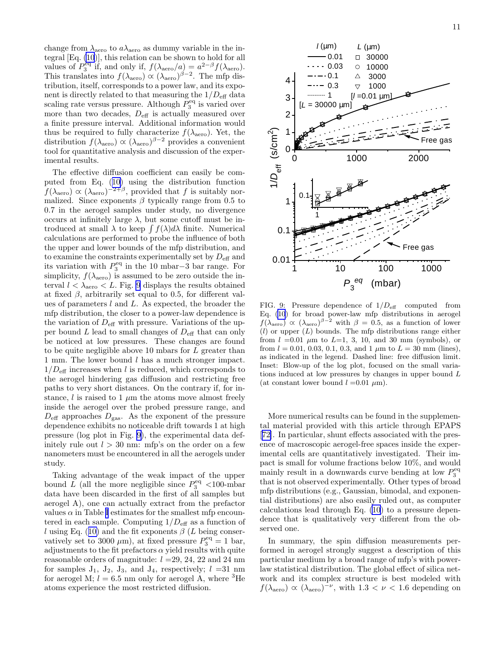change from  $\lambda_{\text{aero}}$  to  $a\lambda_{\text{aero}}$  as dummy variable in the integral [Eq. [\(10](#page-10-0))], this relation can be shown to hold for all values of  $P_3^{\text{eq}}$  if, and only if,  $f(\lambda_{\text{aero}}/a) = a^{2-\beta} f(\lambda_{\text{aero}})$ . This translates into  $f(\lambda_{\text{aero}}) \propto (\lambda_{\text{aero}})^{\beta - 2}$ . The mfp distribution, itself, corresponds to a power law, and its exponent is directly related to that measuring the  $1/D_{\text{eff}}$  data scaling rate versus pressure. Although  $P_3^{\text{eq}}$  is varied over more than two decades,  $D_{\text{eff}}$  is actually measured over a finite pressure interval. Additional information would thus be required to fully characterize  $f(\lambda_{\text{aero}})$ . Yet, the distribution  $f(\lambda_{\text{aero}}) \propto (\lambda_{\text{aero}})^{\beta - 2}$  provides a convenient tool for quantitative analysis and discussion of the experimental results.

The effective diffusion coefficient can easily be computed from Eq. ([10\)](#page-10-0) using the distribution function  $f(\lambda_{\text{aero}}) \propto (\lambda_{\text{aero}})^{-2+\beta}$ , provided that f is suitably normalized. Since exponents  $\beta$  typically range from 0.5 to 0.7 in the aerogel samples under study, no divergence occurs at infinitely large  $\lambda$ , but some cutoff must be introduced at small  $\lambda$  to keep  $\int f(\lambda) d\lambda$  finite. Numerical calculations are performed to probe the influence of both the upper and lower bounds of the mfp distribution, and to examine the constraints experimentally set by  $D_{\text{eff}}$  and its variation with  $P_3^{\text{eq}}$  in the 10 mbar–3 bar range. For simplicity,  $f(\lambda_{\text{aero}})$  is assumed to be zero outside the interval  $l < \lambda_{\rm aero} < L$ . Fig. 9 displays the results obtained at fixed  $\beta$ , arbitrarily set equal to 0.5, for different values of parameters l and L. As expected, the broader the mfp distribution, the closer to a power-law dependence is the variation of  $D_{\text{eff}}$  with pressure. Variations of the upper bound  $L$  lead to small changes of  $D_{\text{eff}}$  that can only be noticed at low pressures. These changes are found to be quite negligible above 10 mbars for L greater than 1 mm. The lower bound l has a much stronger impact.  $1/D<sub>eff</sub>$  increases when l is reduced, which corresponds to the aerogel hindering gas diffusion and restricting free paths to very short distances. On the contrary if, for instance, l is raised to 1  $\mu$ m the atoms move almost freely inside the aerogel over the probed pressure range, and  $D_{\text{eff}}$  approaches  $D_{\text{gas}}$ . As the exponent of the pressure dependence exhibits no noticeable drift towards 1 at high pressure (log plot in Fig. 9), the experimental data definitely rule out  $l > 30$  nm: mfp's on the order on a few nanometers must be encountered in all the aerogels under study.

Taking advantage of the weak impact of the upper bound L (all the more negligible since  $P_3^{\text{eq}}$  <100-mbar data have been discarded in the first of all samples but aerogel A), one can actually extract from the prefactor values  $\alpha$  in Table [I](#page-10-0) estimates for the smallest mfp encountered in each sample. Computing  $1/D_{\text{eff}}$  as a function of l using Eq. ([10\)](#page-10-0) and the fit exponents  $\beta$  (L being conservatively set to 3000  $\mu$ m), at fixed pressure  $P_3^{\text{eq}} = 1$  bar, adjustments to the fit prefactors  $\alpha$  yield results with quite reasonable orders of magnitude:  $l = 29, 24, 22, \text{ and } 24 \text{ nm}$ for samples  $J_1$ ,  $J_2$ ,  $J_3$ , and  $J_4$ , respectively;  $l = 31$  nm for aerogel M;  $l = 6.5$  nm only for aerogel A, where <sup>3</sup>He atoms experience the most restricted diffusion.



FIG. 9: Pressure dependence of  $1/D_{\text{eff}}$  computed from Eq. [\(10](#page-10-0)) for broad power-law mfp distributions in aerogel  $f(\lambda_{\text{aero}}) \propto (\lambda_{\text{aero}})^{\beta-2}$  with  $\beta = 0.5$ , as a function of lower  $(l)$  or upper  $(L)$  bounds. The mfp distributions range either from  $l =0.01 \mu m$  to  $L=1, 3, 10,$  and 30 mm (symbols), or from  $l = 0.01, 0.03, 0.1, 0.3,$  and 1  $\mu$ m to  $L = 30$  mm (lines), as indicated in the legend. Dashed line: free diffusion limit. Inset: Blow-up of the log plot, focused on the small variations induced at low pressures by changes in upper bound L (at constant lower bound  $l = 0.01 \mu m$ ).

More numerical results can be found in the supplemental material provided with this article through EPAPS [[72\]](#page-19-0). In particular, shunt effects associated with the presence of macroscopic aerogel-free spaces inside the experimental cells are quantitatively investigated. Their impact is small for volume fractions below 10%, and would mainly result in a downwards curve bending at low  $P_3^{\text{eq}}$ that is not observed experimentally. Other types of broad mfp distributions (e.g., Gaussian, bimodal, and exponential distributions) are also easily ruled out, as computer calculations lead through Eq. [\(10](#page-10-0)) to a pressure dependence that is qualitatively very different from the observed one.

In summary, the spin diffusion measurements performed in aerogel strongly suggest a description of this particular medium by a broad range of mfp's with powerlaw statistical distribution. The global effect of silica network and its complex structure is best modeled with  $f(\lambda_{\text{aero}}) \propto (\lambda_{\text{aero}})^{-\nu}$ , with  $1.3 < \nu < 1.6$  depending on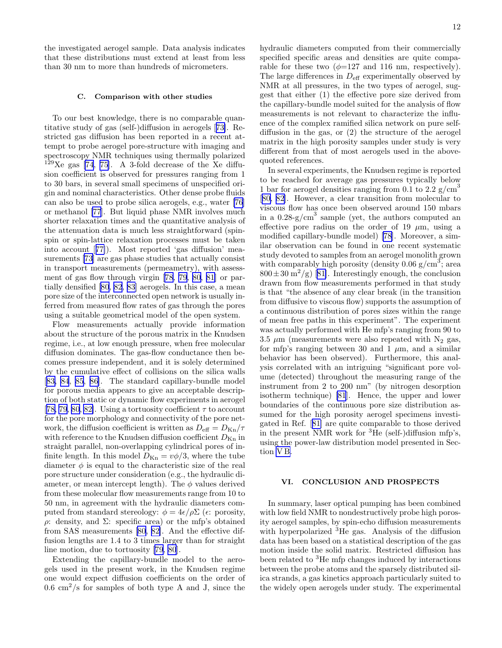the investigated aerogel sample. Data analysis indicates that these distributions must extend at least from less than 30 nm to more than hundreds of micrometers.

### C. Comparison with other studies

To our best knowledge, there is no comparable quantitative study of gas (self-)diffusion in aerogels[[73\]](#page-19-0). Restricted gas diffusion has been reported in a recent attempt to probe aerogel pore-structure with imaging and spectroscopy NMR techniques using thermally polarized  $129$ Xe gas [\[74](#page-19-0), [75\]](#page-19-0). A 3-fold decrease of the Xe diffusion coefficient is observed for pressures ranging from 1 to 30 bars, in several small specimens of unspecified origin and nominal characteristics. Other dense probe fluids can also be used to probe silica aerogels, e.g., water [\[76](#page-19-0)] or methanol [\[77](#page-19-0)]. But liquid phase NMR involves much shorter relaxation times and the quantitative analysis of the attenuation data is much less straightforward (spinspin or spin-lattice relaxation processes must be taken into account[[77\]](#page-19-0)). Most reported 'gas diffusion' measurements [\[73](#page-19-0)] are gas phase studies that actually consist in transport measurements (permeametry), with assessment of gas flow through virgin [\[78](#page-19-0), [79](#page-19-0), [80, 81\]](#page-19-0) or partially densified [\[80](#page-19-0), [82](#page-19-0), [83](#page-19-0)] aerogels. In this case, a mean pore size of the interconnected open network is usually inferred from measured flow rates of gas through the pores using a suitable geometrical model of the open system.

Flow measurements actually provide information about the structure of the porous matrix in the Knudsen regime, i.e., at low enough pressure, when free molecular diffusion dominates. The gas-flow conductance then becomes pressure independent, and it is solely determined by the cumulative effect of collisions on the silica walls [[83, 84](#page-19-0), [85](#page-19-0), [86\]](#page-19-0). The standard capillary-bundle model for porous media appears to give an acceptable description of both static or dynamic flow experiments in aerogel [[78, 79, 80](#page-19-0), [82\]](#page-19-0). Using a tortuosity coefficient  $\tau$  to account for the pore morphology and connectivity of the pore network, the diffusion coefficient is written as  $D_{\text{eff}} = D_{\text{Kn}}/\tau$ with reference to the Knudsen diffusion coefficient  $D_{\text{Kn}}$  in straight parallel, non-overlapping cylindrical pores of infinite length. In this model  $D_{\text{Kn}} = v\phi/3$ , where the tube diameter  $\phi$  is equal to the characteristic size of the real pore structure under consideration (e.g., the hydraulic diameter, or mean intercept length). The  $\phi$  values derived from these molecular flow measurements range from 10 to 50 nm, in agreement with the hydraulic diameters computed from standard stereology:  $\phi = 4\epsilon/\rho\Sigma$  ( $\epsilon$ : porosity, ρ: density, and Σ: specific area) or the mfp's obtained from SAS measurements [\[80, 82\]](#page-19-0). And the effective diffusion lengths are 1.4 to 3 times larger than for straight line motion, due to tortuosity [\[79](#page-19-0), [80](#page-19-0)].

Extending the capillary-bundle model to the aerogels used in the present work, in the Knudsen regime one would expect diffusion coefficients on the order of  $0.6 \text{ cm}^2/\text{s}$  for samples of both type A and J, since the

hydraulic diameters computed from their commercially specified specific areas and densities are quite comparable for these two  $(\phi=127 \text{ and } 116 \text{ nm}, \text{ respectively}).$ The large differences in  $D_{\text{eff}}$  experimentally observed by NMR at all pressures, in the two types of aerogel, suggest that either (1) the effective pore size derived from the capillary-bundle model suited for the analysis of flow measurements is not relevant to characterize the influence of the complex ramified silica network on pure selfdiffusion in the gas, or (2) the structure of the aerogel matrix in the high porosity samples under study is very different from that of most aerogels used in the abovequoted references.

In several experiments, the Knudsen regime is reported to be reached for average gas pressures typically below 1 bar for aerogel densities ranging from 0.1 to 2.2  $\rm g/cm^3$ [[80, 82\]](#page-19-0). However, a clear transition from molecular to viscous flow has once been observed around 150 mbars in a  $0.28\text{-}g/cm^3$  sample (yet, the authors computed an effective pore radius on the order of 19  $\mu$ m, using a modified capillary-bundle model)[[78\]](#page-19-0). Moreover, a similar observation can be found in one recent systematic study devoted to samples from an aerogel monolith grown with comparably high porosity (density  $0.06 \text{ g/cm}^3$ ; area  $800 \pm 30$  $800 \pm 30$  $800 \pm 30$  m<sup>2</sup>/g) [[81\]](#page-19-0). Interestingly enough, the conclusion drawn from flow measurements performed in that study is that "the absence of any clear break (in the transition from diffusive to viscous flow) supports the assumption of a continuous distribution of pores sizes within the range of mean free paths in this experiment". The experiment was actually performed with He mfp's ranging from 90 to 3.5  $\mu$ m (measurements were also repeated with N<sub>2</sub> gas, for mfp's ranging between 30 and 1  $\mu$ m, and a similar behavior has been observed). Furthermore, this analysis correlated with an intriguing "significant pore volume (detected) throughout the measuring range of the instrument from 2 to 200 nm" (by nitrogen desorption isotherm technique) [\[81](#page-19-0)]. Hence, the upper and lower boundaries of the continuous pore size distribution assumed for the high porosity aerogel specimens investigated in Ref.[[81\]](#page-19-0) are quite comparable to those derived in the present NMR work for <sup>3</sup>He (self-)diffusion mfp's, using the power-law distribution model presented in Section [V B.](#page-10-0)

### VI. CONCLUSION AND PROSPECTS

In summary, laser optical pumping has been combined with low field NMR to nondestructively probe high porosity aerogel samples, by spin-echo diffusion measurements with hyperpolarized <sup>3</sup>He gas. Analysis of the diffusion data has been based on a statistical description of the gas motion inside the solid matrix. Restricted diffusion has been related to <sup>3</sup>He mfp changes induced by interactions between the probe atoms and the sparsely distributed silica strands, a gas kinetics approach particularly suited to the widely open aerogels under study. The experimental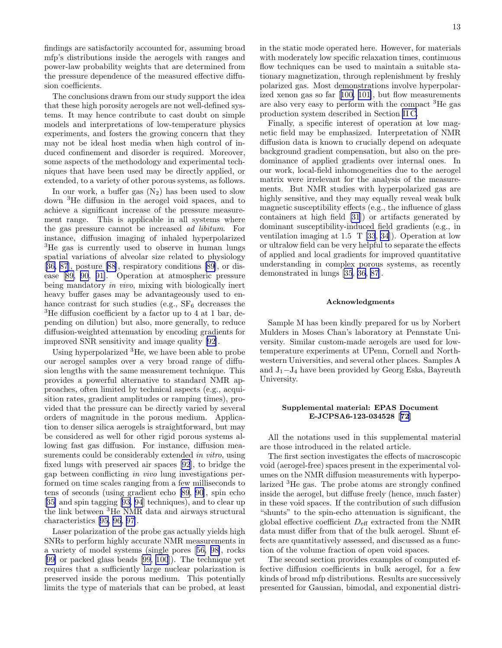findings are satisfactorily accounted for, assuming broad mfp's distributions inside the aerogels with ranges and power-law probability weights that are determined from the pressure dependence of the measured effective diffusion coefficients.

The conclusions drawn from our study support the idea that these high porosity aerogels are not well-defined systems. It may hence contribute to cast doubt on simple models and interpretations of low-temperature physics experiments, and fosters the growing concern that they may not be ideal host media when high control of induced confinement and disorder is required. Moreover, some aspects of the methodology and experimental techniques that have been used may be directly applied, or extended, to a variety of other porous systems, as follows.

In our work, a buffer gas  $(N_2)$  has been used to slow down <sup>3</sup>He diffusion in the aerogel void spaces, and to achieve a significant increase of the pressure measurement range. This is applicable in all systems where the gas pressure cannot be increased ad libitum. For instance, diffusion imaging of inhaled hyperpolarized <sup>3</sup>He gas is currently used to observe in human lungs spatial variations of alveolar size related to physiology [[36,](#page-18-0) [87](#page-19-0)], posture [\[88](#page-19-0)], respiratory conditions[[89\]](#page-19-0), or disease[[89, 90](#page-19-0), [91\]](#page-19-0). Operation at atmospheric pressure being mandatory in vivo, mixing with biologically inert heavy buffer gases may be advantageously used to enhance contrast for such studies (e.g.,  $SF_6$  decreases the <sup>3</sup>He diffusion coefficient by a factor up to 4 at 1 bar, depending on dilution) but also, more generally, to reduce diffusion-weighted attenuation by encoding gradients for improved SNR sensitivity and image quality [\[92\]](#page-19-0).

Using hyperpolarized <sup>3</sup>He, we have been able to probe our aerogel samples over a very broad range of diffusion lengths with the same measurement technique. This provides a powerful alternative to standard NMR approaches, often limited by technical aspects (e.g., acquisition rates, gradient amplitudes or ramping times), provided that the pressure can be directly varied by several orders of magnitude in the porous medium. Application to denser silica aerogels is straightforward, but may be considered as well for other rigid porous systems allowing fast gas diffusion. For instance, diffusion measurements could be considerably extended in vitro, using fixed lungs with preserved air spaces [\[92](#page-19-0)], to bridge the gap between conflicting in vivo lung investigations performed on time scales ranging from a few milliseconds to tens of seconds (using gradient echo [\[89](#page-19-0), [90](#page-19-0)], spin echo [[35\]](#page-18-0) and spin tagging[[93, 94](#page-19-0)] techniques), and to clear up the link between <sup>3</sup>He NMR data and airways structural characteristics[[95, 96, 97](#page-19-0)].

Laser polarization of the probe gas actually yields high SNRs to perform highly accurate NMR measurements in a variety of model systems (single pores[[56, 98\]](#page-19-0), rocks [[99\]](#page-19-0) or packed glass beads [\[99,](#page-19-0) [100](#page-20-0)]). The technique yet requires that a sufficiently large nuclear polarization is preserved inside the porous medium. This potentially limits the type of materials that can be probed, at least

in the static mode operated here. However, for materials with moderately low specific relaxation times, continuous flow techniques can be used to maintain a suitable stationary magnetization, through replenishment by freshly polarized gas. Most demonstrations involve hyperpolarized xenon gas so far[[100, 101\]](#page-20-0), but flow measurements are also very easy to perform with the compact <sup>3</sup>He gas production system described in Section [II C.](#page-4-0)

Finally, a specific interest of operation at low magnetic field may be emphasized. Interpretation of NMR diffusion data is known to crucially depend on adequate background gradient compensation, but also on the predominance of applied gradients over internal ones. In our work, local-field inhomogeneities due to the aerogel matrix were irrelevant for the analysis of the measurements. But NMR studies with hyperpolarized gas are highly sensitive, and they may equally reveal weak bulk magnetic susceptibility effects (e.g., the influence of glass containers at high field [\[31\]](#page-18-0)) or artifacts generated by dominant susceptibility-induced field gradients (e.g., in ventilation imaging at 1.5 T [\[33](#page-18-0), [34](#page-18-0)]). Operation at low or ultralow field can be very helpful to separate the effects of applied and local gradients for improved quantitative understanding in complex porous systems, as recently demonstrated in lungs [\[35](#page-18-0), [36](#page-18-0), [87](#page-19-0)].

### Acknowledgments

Sample M has been kindly prepared for us by Norbert Mulders in Moses Chan's laboratory at Pennstate University. Similar custom-made aerogels are used for lowtemperature experiments at UPenn, Cornell and Northwestern Universities, and several other places. Samples A and J1−J<sup>4</sup> have been provided by Georg Eska, Bayreuth University.

### Supplemental material: EPAS Document E-JCPSA6-123-034528[[72](#page-19-0)]

All the notations used in this supplemental material are those introduced in the related article.

The first section investigates the effects of macroscopic void (aerogel-free) spaces present in the experimental volumes on the NMR diffusion measurements with hyperpolarized <sup>3</sup>He gas. The probe atoms are strongly confined inside the aerogel, but diffuse freely (hence, much faster) in these void spaces. If the contribution of such diffusion "shunts" to the spin-echo attenuation is significant, the global effective coefficient  $D_{\text{eff}}$  extracted from the NMR data must differ from that of the bulk aerogel. Shunt effects are quantitatively assessed, and discussed as a function of the volume fraction of open void spaces.

The second section provides examples of computed effective diffusion coefficients in bulk aerogel, for a few kinds of broad mfp distributions. Results are successively presented for Gaussian, bimodal, and exponential distri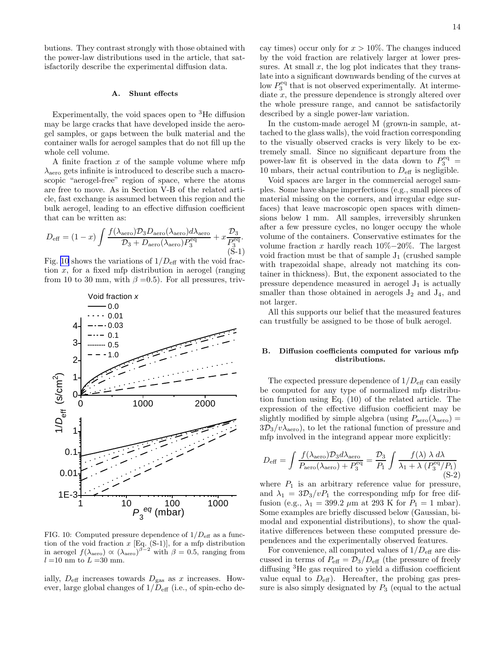butions. They contrast strongly with those obtained with the power-law distributions used in the article, that satisfactorily describe the experimental diffusion data.

### A. Shunt effects

Experimentally, the void spaces open to <sup>3</sup>He diffusion may be large cracks that have developed inside the aerogel samples, or gaps between the bulk material and the container walls for aerogel samples that do not fill up the whole cell volume.

A finite fraction  $x$  of the sample volume where mfp  $\lambda_{\text{aero}}$  gets infinite is introduced to describe such a macroscopic "aerogel-free" region of space, where the atoms are free to move. As in Section V-B of the related article, fast exchange is assumed between this region and the bulk aerogel, leading to an effective diffusion coefficient that can be written as:

$$
D_{\text{eff}} = (1 - x) \int \frac{f(\lambda_{\text{aero}}) \mathcal{D}_3 D_{\text{aero}}(\lambda_{\text{aero}}) d\lambda_{\text{aero}}}{\mathcal{D}_3 + D_{\text{aero}}(\lambda_{\text{aero}}) P_3^{\text{eq}}} + x \frac{\mathcal{D}_3}{P_3^{\text{eq}}}.
$$
\n(S-1)

Fig. 10 shows the variations of  $1/D_{\text{eff}}$  with the void fraction  $x$ , for a fixed mfp distribution in aerogel (ranging from 10 to 30 mm, with  $\beta = 0.5$ ). For all pressures, triv-



FIG. 10: Computed pressure dependence of  $1/D<sub>eff</sub>$  as a function of the void fraction  $x$  [Eq.  $(S-1)$ ], for a mfp distribution in aerogel  $f(\lambda_{\text{aero}}) \propto (\lambda_{\text{aero}})^{\beta - 2}$  with  $\beta = 0.5$ , ranging from  $l = 10$  nm to  $L = 30$  mm.

ially,  $D_{\text{eff}}$  increases towards  $D_{\text{gas}}$  as x increases. However, large global changes of  $1/D<sub>eff</sub>$  (i.e., of spin-echo decay times) occur only for  $x > 10\%$ . The changes induced by the void fraction are relatively larger at lower pressures. At small  $x$ , the log plot indicates that they translate into a significant downwards bending of the curves at low  $P_3^{\text{eq}}$  that is not observed experimentally. At intermediate  $x$ , the pressure dependence is strongly altered over the whole pressure range, and cannot be satisfactorily described by a single power-law variation.

In the custom-made aerogel M (grown-in sample, attached to the glass walls), the void fraction corresponding to the visually observed cracks is very likely to be extremely small. Since no significant departure from the power-law fit is observed in the data down to  $P_3^{\text{eq}}$  = 10 mbars, their actual contribution to  $D_{\text{eff}}$  is negligible.

Void spaces are larger in the commercial aerogel samples. Some have shape imperfections (e.g., small pieces of material missing on the corners, and irregular edge surfaces) that leave macroscopic open spaces with dimensions below 1 mm. All samples, irreversibly shrunken after a few pressure cycles, no longer occupy the whole volume of the containers. Conservative estimates for the volume fraction x hardly reach  $10\% - 20\%$ . The largest void fraction must be that of sample  $J_1$  (crushed sample with trapezoidal shape, already not matching its container in thickness). But, the exponent associated to the pressure dependence measured in aerogel  $J_1$  is actually smaller than those obtained in aerogels  $J_2$  and  $J_4$ , and not larger.

All this supports our belief that the measured features can trustfully be assigned to be those of bulk aerogel.

### B. Diffusion coefficients computed for various mfp distributions.

The expected pressure dependence of  $1/D_{\text{eff}}$  can easily be computed for any type of normalized mfp distribution function using Eq. (10) of the related article. The expression of the effective diffusion coefficient may be slightly modified by simple algebra (using  $P_{\text{aero}}(\lambda_{\text{aero}})$  =  $3D_3/v\lambda_{\rm aero}$ , to let the rational function of pressure and mfp involved in the integrand appear more explicitly:

$$
D_{\text{eff}} = \int \frac{f(\lambda_{\text{aero}}) \mathcal{D}_3 d\lambda_{\text{aero}}}{P_{\text{aero}}(\lambda_{\text{aero}}) + P_3^{\text{eq}}} = \frac{\mathcal{D}_3}{P_1} \int \frac{f(\lambda) \lambda \, d\lambda}{\lambda_1 + \lambda \left(P_3^{\text{eq}}/P_1\right)} \tag{S-2}
$$

where  $P_1$  is an arbitrary reference value for pressure, and  $\lambda_1 = 3\mathcal{D}_3/vP_1$  the corresponding mfp for free diffusion (e.g.,  $\lambda_1 = 399.2 \ \mu \text{m}$  at 293 K for  $P_1 = 1 \ \text{mbar}.$ Some examples are briefly discussed below (Gaussian, bimodal and exponential distributions), to show the qualitative differences between these computed pressure dependences and the experimentally observed features.

For convenience, all computed values of  $1/D_{\text{eff}}$  are discussed in terms of  $P_{\text{eff}} = \mathcal{D}_3/D_{\text{eff}}$  (the pressure of freely diffusing <sup>3</sup>He gas required to yield a diffusion coefficient value equal to  $D_{\text{eff}}$ ). Hereafter, the probing gas pressure is also simply designated by  $P_3$  (equal to the actual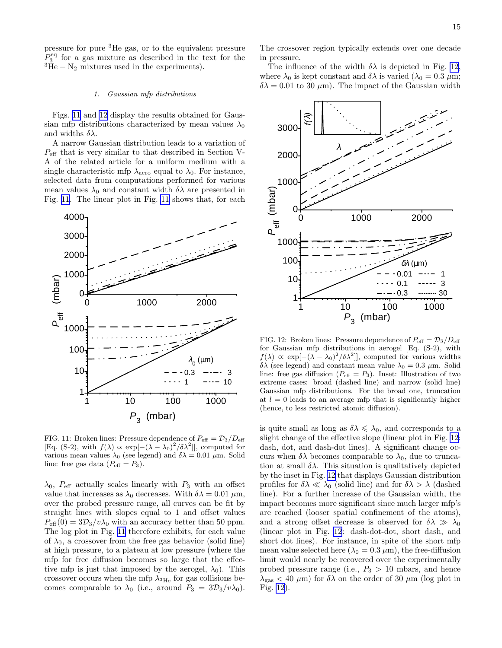pressure for pure <sup>3</sup>He gas, or to the equivalent pressure  $P_3^{\text{eq}}$  for a gas mixture as described in the text for the  ${}^{3}\text{He} - \text{N}_2$  mixtures used in the experiments).

### 1. Gaussian mfp distributions

Figs. 11 and 12 display the results obtained for Gaussian mfp distributions characterized by mean values  $\lambda_0$ and widths  $\delta \lambda$ .

A narrow Gaussian distribution leads to a variation of  $P_{\text{eff}}$  that is very similar to that described in Section V-A of the related article for a uniform medium with a single characteristic mfp  $\lambda_{\text{aero}}$  equal to  $\lambda_0$ . For instance, selected data from computations performed for various mean values  $\lambda_0$  and constant width  $\delta\lambda$  are presented in Fig. 11. The linear plot in Fig. 11 shows that, for each



FIG. 11: Broken lines: Pressure dependence of  $P_{\text{eff}} = \mathcal{D}_3/D_{\text{eff}}$ [Eq. (S-2), with  $f(\lambda) \propto \exp[-(\lambda - \lambda_0)^2/\delta \lambda^2]$ ], computed for various mean values  $\lambda_0$  (see legend) and  $\delta \lambda = 0.01 \mu \text{m}$ . Solid line: free gas data  $(P_{\text{eff}} = P_3)$ .

 $\lambda_0$ ,  $P_{\text{eff}}$  actually scales linearly with  $P_3$  with an offset value that increases as  $\lambda_0$  decreases. With  $\delta \lambda = 0.01 \ \mu \text{m}$ , over the probed pressure range, all curves can be fit by straight lines with slopes equal to 1 and offset values  $P_{\text{eff}}(0) = 3\mathcal{D}_3/v\lambda_0$  with an accuracy better than 50 ppm. The log plot in Fig. 11 therefore exhibits, for each value of  $\lambda_0$ , a crossover from the free gas behavior (solid line) at high pressure, to a plateau at low pressure (where the mfp for free diffusion becomes so large that the effective mfp is just that imposed by the aerogel,  $\lambda_0$ ). This crossover occurs when the mfp  $\lambda_{^3\text{He}}$  for gas collisions becomes comparable to  $\lambda_0$  (i.e., around  $P_3 = 3\mathcal{D}_3/v\lambda_0$ ).

The crossover region typically extends over one decade in pressure.

The influence of the width  $\delta\lambda$  is depicted in Fig. 12, where  $\lambda_0$  is kept constant and  $\delta\lambda$  is varied ( $\lambda_0 = 0.3 \ \mu \text{m}$ ;  $\delta\lambda = 0.01$  to 30  $\mu$ m). The impact of the Gaussian width



FIG. 12: Broken lines: Pressure dependence of  $P_{\text{eff}} = \mathcal{D}_3/D_{\text{eff}}$ for Gaussian mfp distributions in aerogel [Eq. (S-2), with  $f(\lambda) \propto \exp[-(\lambda - \lambda_0)^2/\delta \lambda^2]$ , computed for various widths δλ (see legend) and constant mean value  $\lambda_0 = 0.3 \mu$ m. Solid line: free gas diffusion ( $P_{\text{eff}} = P_3$ ). Inset: Illustration of two extreme cases: broad (dashed line) and narrow (solid line) Gaussian mfp distributions. For the broad one, truncation at  $l = 0$  leads to an average mfp that is significantly higher (hence, to less restricted atomic diffusion).

is quite small as long as  $\delta \lambda \leq \lambda_0$ , and corresponds to a slight change of the effective slope (linear plot in Fig. 12: dash, dot, and dash-dot lines). A significant change occurs when  $\delta\lambda$  becomes comparable to  $\lambda_0$ , due to truncation at small  $\delta \lambda$ . This situation is qualitatively depicted by the inset in Fig. 12 that displays Gaussian distribution profiles for  $\delta \lambda \ll \lambda_0$  (solid line) and for  $\delta \lambda > \lambda$  (dashed line). For a further increase of the Gaussian width, the impact becomes more significant since much larger mfp's are reached (looser spatial confinement of the atoms), and a strong offset decrease is observed for  $\delta \lambda \gg \lambda_0$ (linear plot in Fig. 12: dash-dot-dot, short dash, and short dot lines). For instance, in spite of the short mfp mean value selected here  $(\lambda_0 = 0.3 \ \mu \text{m})$ , the free-diffusion limit would nearly be recovered over the experimentally probed pressure range (i.e.,  $P_3 > 10$  mbars, and hence  $\lambda_{\rm gas}$  < 40  $\mu$ m) for  $\delta\lambda$  on the order of 30  $\mu$ m (log plot in Fig. 12).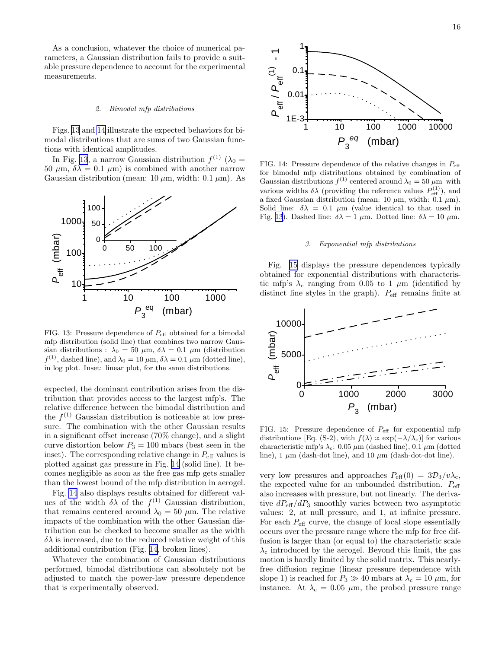<span id="page-16-0"></span>As a conclusion, whatever the choice of numerical parameters, a Gaussian distribution fails to provide a suitable pressure dependence to account for the experimental measurements.

### 2. Bimodal mfp distributions

Figs. 13 and 14 illustrate the expected behaviors for bimodal distributions that are sums of two Gaussian functions with identical amplitudes.

In Fig. 13, a narrow Gaussian distribution  $f^{(1)}(\lambda_0 =$ 50  $\mu$ m,  $\delta\lambda = 0.1 \mu$ m) is combined with another narrow Gaussian distribution (mean:  $10 \mu m$ , width:  $0.1 \mu m$ ). As



FIG. 13: Pressure dependence of  $P_{\text{eff}}$  obtained for a bimodal mfp distribution (solid line) that combines two narrow Gaussian distributions :  $\lambda_0 = 50 \mu \text{m}$ ,  $\delta \lambda = 0.1 \mu \text{m}$  (distribution  $f^{(1)}$ , dashed line), and  $\lambda_0 = 10 \,\mu\text{m}$ ,  $\delta \lambda = 0.1 \,\mu\text{m}$  (dotted line), in log plot. Inset: linear plot, for the same distributions.

expected, the dominant contribution arises from the distribution that provides access to the largest mfp's. The relative difference between the bimodal distribution and the  $f^{(1)}$  Gaussian distribution is noticeable at low pressure. The combination with the other Gaussian results in a significant offset increase (70% change), and a slight curve distortion below  $P_3 = 100$  mbars (best seen in the inset). The corresponding relative change in  $P_{\text{eff}}$  values is plotted against gas pressure in Fig. 14 (solid line). It becomes negligible as soon as the free gas mfp gets smaller than the lowest bound of the mfp distribution in aerogel.

Fig. 14 also displays results obtained for different values of the width  $\delta\lambda$  of the  $f^{(1)}$  Gaussian distribution, that remains centered around  $\lambda_0 = 50 \ \mu \text{m}$ . The relative impacts of the combination with the other Gaussian distribution can be checked to become smaller as the width  $\delta\lambda$  is increased, due to the reduced relative weight of this additional contribution (Fig. 14, broken lines).

Whatever the combination of Gaussian distributions performed, bimodal distributions can absolutely not be adjusted to match the power-law pressure dependence that is experimentally observed.



FIG. 14: Pressure dependence of the relative changes in  $P_{\text{eff}}$ for bimodal mfp distributions obtained by combination of Gaussian distributions  $f^{(1)}$  centered around  $\lambda_0 = 50 \,\mu \text{m}$  with various widths  $\delta\lambda$  (providing the reference values  $P_{\text{eff}}^{(1)}$ ), and a fixed Gaussian distribution (mean: 10  $\mu$ m, width: 0.1  $\mu$ m). Solid line:  $\delta \lambda = 0.1 \mu m$  (value identical to that used in Fig. 13). Dashed line:  $\delta \lambda = 1 \mu m$ . Dotted line:  $\delta \lambda = 10 \mu m$ .

### 3. Exponential mfp distributions

Fig. 15 displays the pressure dependences typically obtained for exponential distributions with characteristic mfp's  $\lambda_c$  ranging from 0.05 to 1  $\mu$ m (identified by distinct line styles in the graph).  $P_{\text{eff}}$  remains finite at



FIG. 15: Pressure dependence of  $P_{\text{eff}}$  for exponential mfp distributions [Eq. (S-2), with  $f(\lambda) \propto \exp(-\lambda/\lambda_c)$ ] for various characteristic mfp's  $\lambda_c$ : 0.05  $\mu$ m (dashed line), 0.1  $\mu$ m (dotted line), 1  $\mu$ m (dash-dot line), and 10  $\mu$ m (dash-dot-dot line).

very low pressures and approaches  $P_{\text{eff}}(0) = 3\mathcal{D}_3/v\lambda_c$ , the expected value for an unbounded distribution.  $P_{\text{eff}}$ also increases with pressure, but not linearly. The derivative  $dP_{\text{eff}}/dP_3$  smoothly varies between two asymptotic values: 2, at null pressure, and 1, at infinite pressure. For each  $P_{\text{eff}}$  curve, the change of local slope essentially occurs over the pressure range where the mfp for free diffusion is larger than (or equal to) the characteristic scale  $\lambda_c$  introduced by the aerogel. Beyond this limit, the gas motion is hardly limited by the solid matrix. This nearlyfree diffusion regime (linear pressure dependence with slope 1) is reached for  $P_3 \gg 40$  mbars at  $\lambda_c = 10 \mu m$ , for instance. At  $\lambda_c = 0.05 \mu m$ , the probed pressure range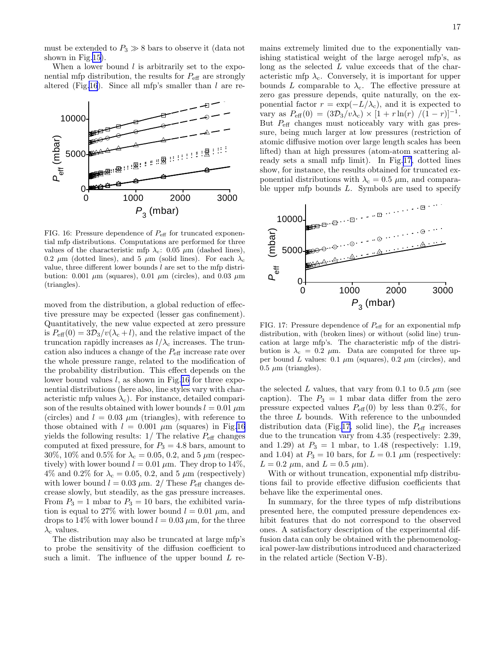must be extended to  $P_3 \gg 8$  bars to observe it (data not shown in Fig.[15](#page-16-0)).

When a lower bound  $l$  is arbitrarily set to the exponential mfp distribution, the results for  $P_{\text{eff}}$  are strongly altered (Fig.16). Since all mfp's smaller than  $l$  are re-



FIG. 16: Pressure dependence of  $P_{\text{eff}}$  for truncated exponential mfp distributions. Computations are performed for three values of the characteristic mfp  $\lambda_c$ : 0.05  $\mu$ m (dashed lines), 0.2  $\mu$ m (dotted lines), and 5  $\mu$ m (solid lines). For each  $\lambda_c$ value, three different lower bounds  $l$  are set to the mfp distribution: 0.001  $\mu$ m (squares), 0.01  $\mu$ m (circles), and 0.03  $\mu$ m (triangles).

moved from the distribution, a global reduction of effective pressure may be expected (lesser gas confinement). Quantitatively, the new value expected at zero pressure is  $P_{\text{eff}}(0) = 3\mathcal{D}_3/v(\lambda_c+l)$ , and the relative impact of the truncation rapidly increases as  $l/\lambda_c$  increases. The truncation also induces a change of the  $P_{\text{eff}}$  increase rate over the whole pressure range, related to the modification of the probability distribution. This effect depends on the lower bound values l, as shown in Fig.16 for three exponential distributions (here also, line styles vary with characteristic mfp values  $\lambda_c$ ). For instance, detailed comparison of the results obtained with lower bounds  $l = 0.01 \mu m$ (circles) and  $l = 0.03 \mu m$  (triangles), with reference to those obtained with  $l = 0.001 \mu m$  (squares) in Fig.16 yields the following results:  $1/$  The relative  $P_{\text{eff}}$  changes computed at fixed pressure, for  $P_3 = 4.8$  bars, amount to 30%, 10% and 0.5% for  $\lambda_c = 0.05, 0.2,$  and 5  $\mu$ m (respectively) with lower bound  $l = 0.01 \mu m$ . They drop to 14%, 4% and 0.2% for  $\lambda_c = 0.05, 0.2,$  and 5  $\mu$ m (respectively) with lower bound  $l = 0.03 \mu \text{m}$ . 2/ These  $P_{\text{eff}}$  changes decrease slowly, but steadily, as the gas pressure increases. From  $P_3 = 1$  mbar to  $P_3 = 10$  bars, the exhibited variation is equal to 27% with lower bound  $l = 0.01 \mu m$ , and drops to 14% with lower bound  $l = 0.03 \mu m$ , for the three  $\lambda_c$  values.

The distribution may also be truncated at large mfp's to probe the sensitivity of the diffusion coefficient to such a limit. The influence of the upper bound  $L$  remains extremely limited due to the exponentially vanishing statistical weight of the large aerogel mfp's, as long as the selected L value exceeds that of the characteristic mfp  $\lambda_c$ . Conversely, it is important for upper bounds L comparable to  $\lambda_c$ . The effective pressure at zero gas pressure depends, quite naturally, on the exponential factor  $r = \exp(-L/\lambda_c)$ , and it is expected to vary as  $P_{\text{eff}}(0) = (3\mathcal{D}_3/v\lambda_c) \times [1 + r\ln(r)/(1-r)]^{-1}$ . But  $P_{\text{eff}}$  changes must noticeably vary with gas pressure, being much larger at low pressures (restriction of atomic diffusive motion over large length scales has been lifted) than at high pressures (atom-atom scattering already sets a small mfp limit). In Fig.17, dotted lines show, for instance, the results obtained for truncated exponential distributions with  $\lambda_c = 0.5 \mu m$ , and comparable upper mfp bounds  $L$ . Symbols are used to specify



FIG. 17: Pressure dependence of  $P_{\text{eff}}$  for an exponential mfp distribution, with (broken lines) or without (solid line) truncation at large mfp's. The characteristic mfp of the distribution is  $\lambda_c = 0.2 \mu m$ . Data are computed for three upper bound L values:  $0.1 \mu m$  (squares),  $0.2 \mu m$  (circles), and  $0.5 \mu m$  (triangles).

the selected L values, that vary from 0.1 to 0.5  $\mu$ m (see caption). The  $P_3 = 1$  mbar data differ from the zero pressure expected values  $P_{\text{eff}}(0)$  by less than 0.2%, for the three  $L$  bounds. With reference to the unbounded distribution data (Fig.17, solid line), the  $P_{\text{eff}}$  increases due to the truncation vary from 4.35 (respectively: 2.39, and 1.29) at  $P_3 = 1$  mbar, to 1.48 (respectively: 1.19, and 1.04) at  $P_3 = 10$  bars, for  $L = 0.1 \mu m$  (respectively:  $L = 0.2 \mu \text{m}$ , and  $L = 0.5 \mu \text{m}$ ).

With or without truncation, exponential mfp distributions fail to provide effective diffusion coefficients that behave like the experimental ones.

In summary, for the three types of mfp distributions presented here, the computed pressure dependences exhibit features that do not correspond to the observed ones. A satisfactory description of the experimental diffusion data can only be obtained with the phenomenological power-law distributions introduced and characterized in the related article (Section V-B).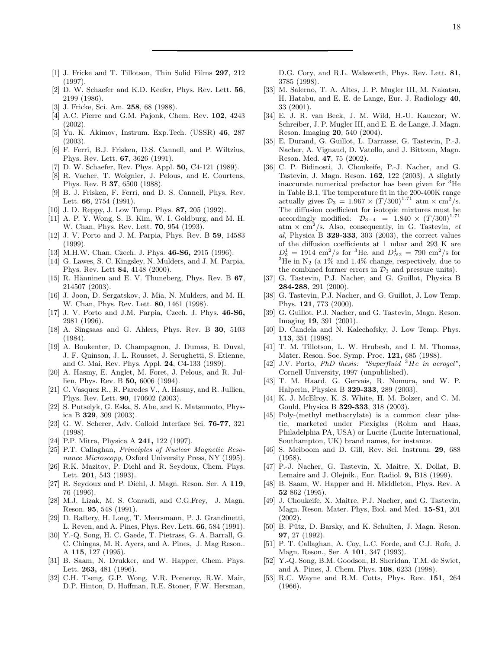- <span id="page-18-0"></span>[1] J. Fricke and T. Tillotson, Thin Solid Films 297, 212 (1997).
- [2] D. W. Schaefer and K.D. Keefer, Phys. Rev. Lett. 56, 2199 (1986).
- [3] J. Fricke, Sci. Am. 258, 68 (1988).
- [4] A.C. Pierre and G.M. Pajonk, Chem. Rev. 102, 4243 (2002).
- [5] Yu. K. Akimov, Instrum. Exp.Tech. (USSR) 46, 287 (2003).
- [6] F. Ferri, B.J. Frisken, D.S. Cannell, and P. Wiltzius, Phys. Rev. Lett. 67, 3626 (1991).
- [7] D. W. Schaefer, Rev. Phys. Appl. **50,** C4-121 (1989).
- [8] R. Vacher, T. Woignier, J. Pelous, and E. Courtens, Phys. Rev. B 37, 6500 (1988).
- [9] B. J. Frisken, F. Ferri, and D. S. Cannell, Phys. Rev. Lett. 66, 2754 (1991).
- [10] J. D. Reppy, J. Low Temp. Phys. **87,** 205 (1992).
- [11] A. P. Y. Wong, S. B. Kim, W. I. Goldburg, and M. H. W. Chan, Phys. Rev. Lett. **70**, 954 (1993).
- [12] J. V. Porto and J. M. Parpia, Phys. Rev. B 59, 14583 (1999).
- [13] M.H.W. Chan, Czech. J. Phys. **46-S6**, 2915 (1996).
- [14] G. Lawes, S. C. Kingsley, N. Mulders, and J. M. Parpia, Phys. Rev. Lett 84, 4148 (2000).
- [15] R. Hänninen and E. V. Thuneberg, Phys. Rev. B  $67$ , 214507 (2003).
- [16] J. Joon, D. Sergatskov, J. Mia, N. Mulders, and M. H. W. Chan, Phys. Rev. Lett. **80**, 1461 (1998).
- [17] J. V. Porto and J.M. Parpia, Czech. J. Phys. 46-S6, 2981 (1996).
- [18] A. Singsaas and G. Ahlers, Phys. Rev. B 30, 5103 (1984).
- [19] A. Boukenter, D. Champagnon, J. Dumas, E. Duval, J. F. Quinson, J. L. Rousset, J. Serughetti, S. Etienne, and C. Mai, Rev. Phys. Appl. 24, C4-133 (1989).
- [20] A. Hasmy, E. Anglet, M. Foret, J. Pelous, and R. Jullien, Phys. Rev. B 50, 6006 (1994).
- [21] C. Vasquez R., R. Paredes V., A. Hasmy, and R. Jullien, Phys. Rev. Lett. 90, 170602 (2003).
- [22] S. Putselyk, G. Eska, S. Abe, and K. Matsumoto, Physica B 329, 309 (2003).
- [23] G. W. Scherer, Adv. Colloid Interface Sci. 76-77, 321 (1998).
- [24] P.P. Mitra, Physica A **241**, 122 (1997).
- [25] P.T. Callaghan, Principles of Nuclear Magnetic Resonance Microscopy, Oxford University Press, NY (1995).
- [26] R.K. Mazitov, P. Diehl and R. Seydoux, Chem. Phys. Lett. 201, 543 (1993).
- [27] R. Seydoux and P. Diehl, J. Magn. Reson. Ser. A 119, 76 (1996).
- [28] M.J. Lizak, M. S. Conradi, and C.G.Frey, J. Magn. Reson. 95, 548 (1991).
- [29] D. Raftery, H. Long, T. Meersmann, P. J. Grandinetti, L. Reven, and A. Pines, Phys. Rev. Lett. 66, 584 (1991).
- [30] Y.-Q. Song, H. C. Gaede, T. Pietrass, G. A. Barrall, G. C. Chingas, M. R. Ayers, and A. Pines, J. Mag Reson.. A 115, 127 (1995).
- [31] B. Saam, N. Drukker, and W. Happer, Chem. Phys. Lett. 263, 481 (1996).
- [32] C.H. Tseng, G.P. Wong, V.R. Pomeroy, R.W. Mair, D.P. Hinton, D. Hoffman, R.E. Stoner, F.W. Hersman,

D.G. Cory, and R.L. Walsworth, Phys. Rev. Lett. 81, 3785 (1998).

- [33] M. Salerno, T. A. Altes, J. P. Mugler III, M. Nakatsu, H. Hatabu, and E. E. de Lange, Eur. J. Radiology 40, 33 (2001).
- [34] E. J. R. van Beek, J. M. Wild, H.-U. Kauczor, W. Schreiber, J. P. Mugler III, and E. E. de Lange, J. Magn. Reson. Imaging 20, 540 (2004).
- [35] E. Durand, G. Guillot, L. Darrasse, G. Tastevin, P.-J. Nacher, A. Vignaud, D. Vatollo, and J. Bittoun, Magn. Reson. Med. 47, 75 (2002).
- [36] C. P. Bidinosti, J. Choukeife, P.-J. Nacher, and G. Tastevin, J. Magn. Reson. 162, 122 (2003). A slightly inaccurate numerical prefactor has been given for <sup>3</sup>He in Table B.1. The temperature fit in the 200-400K range actually gives  $\mathcal{D}_3 = 1.967 \times (T/300)^{1.71}$  atm  $\times \text{ cm}^2/\text{s}$ . The diffusion coefficient for isotopic mixtures must be accordingly modified:  $\mathcal{D}_{3-4}$  = 1.840 ×  $(T/300)^{1.71}$ atm  $\times$  cm<sup>2</sup>/s. Also, consequently, in G. Tastevin, et al, Physica B 329-333, 303 (2003), the correct values of the diffusion coefficients at 1 mbar and 293 K are  $D_3^1 = 1914$  cm<sup>2</sup>/s for <sup>3</sup>He, and  $D_{N2}^1 = 790$  cm<sup>2</sup>/s for <sup>3</sup>He in N<sub>2</sub> (a 1% and 1.4% change, respectively, due to the combined former errors in  $\mathcal{D}_3$  and pressure units).
- [37] G. Tastevin, P.J. Nacher, and G. Guillot, Physica B 284-288, 291 (2000).
- [38] G. Tastevin, P.J. Nacher, and G. Guillot, J. Low Temp. Phys. 121, 773 (2000).
- [39] G. Guillot, P.J. Nacher, and G. Tastevin, Magn. Reson. Imaging 19, 391 (2001).
- [40] D. Candela and N. Kalechofsky, J. Low Temp. Phys. 113, 351 (1998).
- [41] T. M. Tillotson, L. W. Hrubesh, and I. M. Thomas, Mater. Reson. Soc. Symp. Proc. 121, 685 (1988).
- [42] J.V. Porto, PhD thesis: "Superfluid  ${}^{3}He$  in aerogel", Cornell University, 1997 (unpublished).
- [43] T. M. Haard, G. Gervais, R. Nomura, and W. P. Halperin, Physica B 329-333, 289 (2003).
- [44] K. J. McElroy, K. S. White, H. M. Bolzer, and C. M. Gould, Physica B 329-333, 318 (2003).
- [45] Poly-(methyl methacrylate) is a common clear plastic, marketed under Plexiglas (Rohm and Haas, Philadelphia PA, USA) or Lucite (Lucite International, Southampton, UK) brand names, for instance.
- [46] S. Meiboom and D. Gill, Rev. Sci. Instrum. 29, 688 (1958).
- [47] P.-J. Nacher, G. Tastevin, X. Maitre, X. Dollat, B. Lemaire and J. Olejnik., Eur. Radiol. 9, B18 (1999).
- [48] B. Saam, W. Happer and H. Middleton, Phys. Rev. A 52 862 (1995).
- [49] J. Choukeife, X. Maitre, P.J. Nacher, and G. Tastevin, Magn. Reson. Mater. Phys, Biol. and Med. 15-S1, 201 (2002).
- [50] B. Pütz, D. Barsky, and K. Schulten, J. Magn. Reson. 97, 27 (1992).
- [51] P. T. Callaghan, A. Coy, L.C. Forde, and C.J. Rofe, J. Magn. Reson., Ser. A 101, 347 (1993).
- [52] Y.-Q. Song, B.M. Goodson, B. Sheridan, T.M. de Swiet, and A. Pines, J. Chem. Phys. 108, 6233 (1998).
- [53] R.C. Wayne and R.M. Cotts, Phys. Rev. 151, 264 (1966).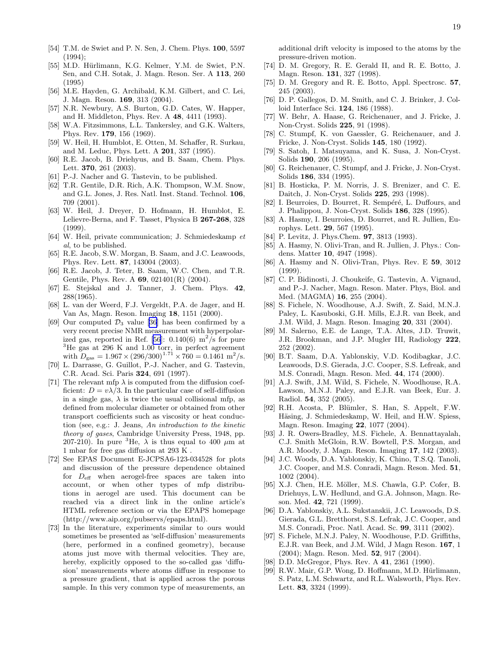- <span id="page-19-0"></span>[54] T.M. de Swiet and P. N. Sen, J. Chem. Phys. 100, 5597  $(1994);$
- [55] M.D. Hürlimann, K.G. Kelmer, Y.M. de Swiet, P.N. Sen, and C.H. Sotak, J. Magn. Reson. Ser. A 113, 260 (1995)
- [56] M.E. Hayden, G. Archibald, K.M. Gilbert, and C. Lei, J. Magn. Reson. 169, 313 (2004).
- [57] N.R. Newbury, A.S. Burton, G.D. Cates, W. Happer, and H. Middleton, Phys. Rev. A 48, 4411 (1993).
- [58] W.A. Fitzsimmons, L.L. Tankersley, and G.K. Walters, Phys. Rev. 179, 156 (1969).
- [59] W. Heil, H. Humblot, E. Otten, M. Schaffer, R. Surkau, and M. Leduc, Phys. Lett. A 201, 337 (1995).
- [60] R.E. Jacob, B. Driehyus, and B. Saam, Chem. Phys. Lett. 370, 261 (2003).
- [61] P.-J. Nacher and G. Tastevin, to be published.
- [62] T.R. Gentile, D.R. Rich, A.K. Thompson, W.M. Snow, and G.L. Jones, J. Res. Natl. Inst. Stand. Technol. 106, 709 (2001).
- [63] W. Heil, J. Dreyer, D. Hofmann, H. Humblot, E. Lelievre-Berna, and F. Tasset, Physica B 267-268, 328 (1999).
- [64] W. Heil, private communication; J. Schmiedeskamp et al, to be published.
- [65] R.E. Jacob, S.W. Morgan, B. Saam, and J.C. Leawoods, Phys. Rev. Lett. 87, 143004 (2003).
- [66] R.E. Jacob, J. Teter, B. Saam, W.C. Chen, and T.R. Gentile, Phys. Rev. A 69, 021401(R) (2004).
- [67] E. Stejskal and J. Tanner, J. Chem. Phys. 42, 288(1965).
- [68] L. van der Weerd, F.J. Vergeldt, P.A. de Jager, and H. Van As, Magn. Reson. Imaging 18, 1151 (2000).
- [69] Our computed  $\mathcal{D}_3$  value [\[36](#page-18-0)] has been confirmed by a very recent precise NMR measurement with hyperpolarized gas, reported in Ref. [56]:  $0.140(6)$  m<sup>2</sup>/s for pure  ${}^{3}$ He gas at 296 K and 1.00 torr, in perfect agreement with  $D_{\text{gas}} = 1.967 \times (296/300)^{1.71} \times 760 = 0.1461 \text{ m}^2/\text{s}.$
- [70] L. Darrasse, G. Guillot, P.-J. Nacher, and G. Tastevin, C.R. Acad. Sci. Paris 324, 691 (1997).
- [71] The relevant mfp  $\lambda$  is computed from the diffusion coefficient:  $D = v\lambda/3$ . In the particular case of self-diffusion in a single gas,  $\lambda$  is twice the usual collisional mfp, as defined from molecular diameter or obtained from other transport coefficients such as viscosity or heat conduction (see, e.g.: J. Jeans, An introduction to the kinetic theory of gases, Cambridge University Press, 1948, pp. 207-210). In pure <sup>3</sup>He,  $\lambda$  is thus equal to 400  $\mu$ m at 1 mbar for free gas diffusion at 293 K .
- [72] See EPAS Document E-JCPSA6-123-034528 for plots and discussion of the pressure dependence obtained for  $D_{\text{eff}}$  when aerogel-free spaces are taken into account, or when other types of mfp distributions in aerogel are used. This document can be reached via a direct link in the online article's HTML reference section or via the EPAPS homepage (http://www.aip.org/pubservs/epaps.html).
- [73] In the literature, experiments similar to ours would sometimes be presented as 'self-diffusion' measurements (here, performed in a confined geometry), because atoms just move with thermal velocities. They are, hereby, explicitly opposed to the so-called gas 'diffusion' measurements where atoms diffuse in response to a pressure gradient, that is applied across the porous sample. In this very common type of measurements, an

additional drift velocity is imposed to the atoms by the pressure-driven motion.

- [74] D. M. Gregory, R. E. Gerald II, and R. E. Botto, J. Magn. Reson. 131, 327 (1998).
- [75] D. M. Gregory and R. E. Botto, Appl. Spectrosc. 57, 245 (2003).
- [76] D. P. Gallegos, D. M. Smith, and C. J. Brinker, J. Colloid Interface Sci. 124, 186 (1988).
- [77] W. Behr, A. Haase, G. Reichenauer, and J. Fricke, J. Non-Cryst. Solids 225, 91 (1998).
- [78] C. Stumpf, K. von Gaessler, G. Reichenauer, and J. Fricke, J. Non-Cryst. Solids 145, 180 (1992).
- [79] S. Satoh, I. Matsuyama, and K. Susa, J. Non-Cryst. Solids 190, 206 (1995).
- [80] G. Reichenauer, C. Stumpf, and J. Fricke, J. Non-Cryst. Solids 186, 334 (1995).
- [81] B. Hosticka, P. M. Norris, J. S. Brenizer, and C. E. Daitch, J. Non-Cryst. Solids 225, 293 (1998).
- [82] I. Beurroies, D. Bourret, R. Sempéré, L. Duffours, and J. Phalippou, J. Non-Cryst. Solids 186, 328 (1995).
- [83] A. Hasmy, I. Beurroies, D. Bourret, and R. Jullien, Europhys. Lett. 29, 567 (1995).
- [84] P. Levitz, J. Phys.Chem. 97, 3813 (1993).
- [85] A. Hasmy, N. Olivi-Tran, and R. Jullien, J. Phys.: Condens. Matter 10, 4947 (1998).
- [86] A. Hasmy and N. Olivi-Tran, Phys. Rev. E 59, 3012 (1999).
- [87] C. P. Bidinosti, J. Choukeife, G. Tastevin, A. Vignaud, and P.-J. Nacher, Magn. Reson. Mater. Phys, Biol. and Med. (MAGMA) 16, 255 (2004).
- [88] S. Fichele, N. Woodhouse, A.J. Swift, Z. Said, M.N.J. Paley, L. Kasuboski, G.H. Mills, E.J.R. van Beek, and J.M. Wild, J. Magn. Reson. Imaging 20, 331 (2004).
- [89] M. Salerno, E.E. de Lange, T.A. Altes, J.D. Truwit, J.R. Brookman, and J.P. Mugler III, Radiology 222, 252 (2002).
- [90] B.T. Saam, D.A. Yablonskiy, V.D. Kodibagkar, J.C. Leawoods, D.S. Gierada, J.C. Cooper, S.S. Lefreak, and M.S. Conradi, Magn. Reson. Med. 44, 174 (2000).
- [91] A.J. Swift, J.M. Wild, S. Fichele, N. Woodhouse, R.A. Lawson, M.N.J. Paley, and E.J.R. van Beek, Eur. J. Radiol. 54, 352 (2005).
- [92] R.H. Acosta, P. Blümler, S. Han, S. Appelt, F.W. Häsing, J. Schmiedeskamp, W. Heil, and H.W. Spiess, Magn. Reson. Imaging 22, 1077 (2004).
- [93] J. R. Owers-Bradley, M.S. Fichele, A. Bennattayalah, C.J. Smith McGloin, R.W. Bowtell, P.S. Morgan, and A.R. Moody, J. Magn. Reson. Imaging 17, 142 (2003).
- [94] J.C. Woods, D.A. Yablonskiy, K. Chino, T.S.Q. Tanoli, J.C. Cooper, and M.S. Conradi, Magn. Reson. Med. 51, 1002 (2004).
- [95] X.J. Chen, H.E. Möller, M.S. Chawla, G.P. Cofer, B. Driehuys, L.W. Hedlund, and G.A. Johnson, Magn. Reson. Med. 42, 721 (1999).
- [96] D.A. Yablonskiy, A.L. Sukstanskii, J.C. Leawoods, D.S. Gierada, G.L. Bretthorst, S.S. Lefrak, J.C. Cooper, and M.S. Conradi, Proc. Natl. Acad. Sc. 99, 3111 (2002).
- [97] S. Fichele, M.N.J. Paley, N. Woodhouse, P.D. Griffiths, E.J.R. van Beek, and J.M. Wild, J Magn Reson. 167, 1 (2004); Magn. Reson. Med. 52, 917 (2004).
- [98] D.D. McGregor, Phys. Rev. A 41, 2361 (1990).
- [99] R.W. Mair, G.P. Wong, D. Hoffmann, M.D. Hürlimann, S. Patz, L.M. Schwartz, and R.L. Walsworth, Phys. Rev. Lett. 83, 3324 (1999).